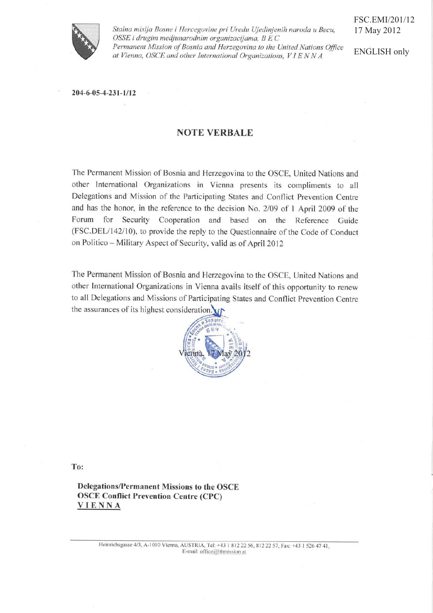

Stalna misija Bosne i Hercegovine pri Uredu Ujedinjenih naroda u Becu, OSSE i drugim medjunarodnim organizacijama, B E C Permanent Mission of Bosnia and Herzegovina to the United Nations Office at Vienna, OSCE and other International Organizations, VIENNA

FSC.EMI/201/12 17 May 2012

ENGLISH only

204-6-05-4-231-1/12

## **NOTE VERBALE**

The Permanent Mission of Bosnia and Herzegovina to the OSCE, United Nations and other International Organizations in Vienna presents its compliments to all Delegations and Mission of the Participating States and Conflict Prevention Centre and has the honor, in the reference to the decision No. 2/09 of 1 April 2009 of the Forum for Security Cooperation and based on the Reference Guide (FSC.DEL/142/10), to provide the reply to the Questionnaire of the Code of Conduct on Politico - Military Aspect of Security, valid as of April 2012

The Permanent Mission of Bosnia and Herzegovina to the OSCE, United Nations and other International Organizations in Vienna avails itself of this opportunity to renew to all Delegations and Missions of Participating States and Conflict Prevention Centre the assurances of its highest consideration.



To:

Delegations/Permanent Missions to the OSCE **OSCE Conflict Prevention Centre (CPC) VIENNA**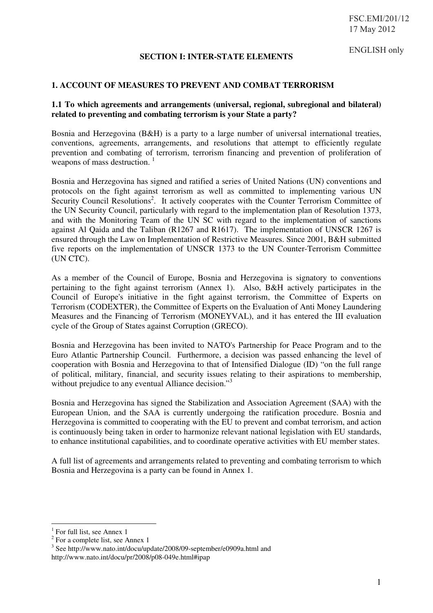ENGLISH only

## **SECTION I: INTER-STATE ELEMENTS**

# **1. ACCOUNT OF MEASURES TO PREVENT AND COMBAT TERRORISM**

#### **1.1 To which agreements and arrangements (universal, regional, subregional and bilateral) related to preventing and combating terrorism is your State a party?**

Bosnia and Herzegovina (B&H) is a party to a large number of universal international treaties, conventions, agreements, arrangements, and resolutions that attempt to efficiently regulate prevention and combating of terrorism, terrorism financing and prevention of proliferation of weapons of mass destruction.<sup>1</sup>

Bosnia and Herzegovina has signed and ratified a series of United Nations (UN) conventions and protocols on the fight against terrorism as well as committed to implementing various UN Security Council Resolutions<sup>2</sup>. It actively cooperates with the Counter Terrorism Committee of the UN Security Council, particularly with regard to the implementation plan of Resolution 1373, and with the Monitoring Team of the UN SC with regard to the implementation of sanctions against Al Qaida and the Taliban (R1267 and R1617). The implementation of UNSCR 1267 is ensured through the Law on Implementation of Restrictive Measures. Since 2001, B&H submitted five reports on the implementation of UNSCR 1373 to the UN Counter-Terrorism Committee (UN CTC).

As a member of the Council of Europe, Bosnia and Herzegovina is signatory to conventions pertaining to the fight against terrorism (Annex 1). Also, B&H actively participates in the Council of Europe's initiative in the fight against terrorism, the Committee of Experts on Terrorism (CODEXTER), the Committee of Experts on the Evaluation of Anti Money Laundering Measures and the Financing of Terrorism (MONEYVAL), and it has entered the III evaluation cycle of the Group of States against Corruption (GRECO).

Bosnia and Herzegovina has been invited to NATO's Partnership for Peace Program and to the Euro Atlantic Partnership Council. Furthermore, a decision was passed enhancing the level of cooperation with Bosnia and Herzegovina to that of Intensified Dialogue (ID) "on the full range of political, military, financial, and security issues relating to their aspirations to membership, without prejudice to any eventual Alliance decision."<sup>3</sup>

Bosnia and Herzegovina has signed the Stabilization and Association Agreement (SAA) with the European Union, and the SAA is currently undergoing the ratification procedure. Bosnia and Herzegovina is committed to cooperating with the EU to prevent and combat terrorism, and action is continuously being taken in order to harmonize relevant national legislation with EU standards, to enhance institutional capabilities, and to coordinate operative activities with EU member states.

A full list of agreements and arrangements related to preventing and combating terrorism to which Bosnia and Herzegovina is a party can be found in Annex 1.

-

<sup>&</sup>lt;sup>1</sup> For full list, see Annex 1

<sup>&</sup>lt;sup>2</sup> For a complete list, see Annex 1

<sup>&</sup>lt;sup>3</sup> See http://www.nato.int/docu/update/2008/09-september/e0909a.html and

http://www.nato.int/docu/pr/2008/p08-049e.html#ipap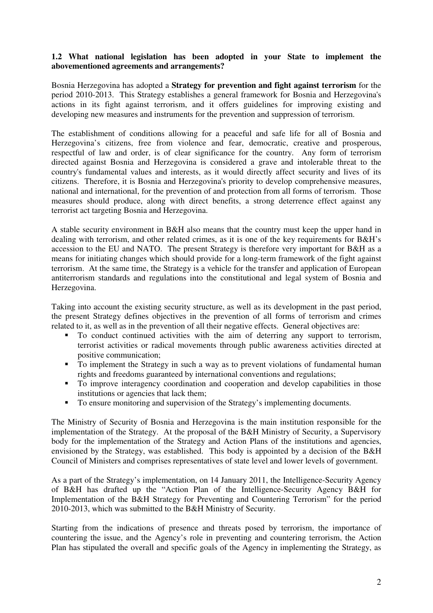### **1.2 What national legislation has been adopted in your State to implement the abovementioned agreements and arrangements?**

Bosnia Herzegovina has adopted a **Strategy for prevention and fight against terrorism** for the period 2010-2013. This Strategy establishes a general framework for Bosnia and Herzegovina's actions in its fight against terrorism, and it offers guidelines for improving existing and developing new measures and instruments for the prevention and suppression of terrorism.

The establishment of conditions allowing for a peaceful and safe life for all of Bosnia and Herzegovina's citizens, free from violence and fear, democratic, creative and prosperous, respectful of law and order, is of clear significance for the country. Any form of terrorism directed against Bosnia and Herzegovina is considered a grave and intolerable threat to the country's fundamental values and interests, as it would directly affect security and lives of its citizens. Therefore, it is Bosnia and Herzegovina's priority to develop comprehensive measures, national and international, for the prevention of and protection from all forms of terrorism. Those measures should produce, along with direct benefits, a strong deterrence effect against any terrorist act targeting Bosnia and Herzegovina.

A stable security environment in B&H also means that the country must keep the upper hand in dealing with terrorism, and other related crimes, as it is one of the key requirements for B&H's accession to the EU and NATO. The present Strategy is therefore very important for B&H as a means for initiating changes which should provide for a long-term framework of the fight against terrorism. At the same time, the Strategy is a vehicle for the transfer and application of European antiterrorism standards and regulations into the constitutional and legal system of Bosnia and Herzegovina.

Taking into account the existing security structure, as well as its development in the past period, the present Strategy defines objectives in the prevention of all forms of terrorism and crimes related to it, as well as in the prevention of all their negative effects. General objectives are:

- - To conduct continued activities with the aim of deterring any support to terrorism, terrorist activities or radical movements through public awareness activities directed at positive communication;
- To implement the Strategy in such a way as to prevent violations of fundamental human rights and freedoms guaranteed by international conventions and regulations;
- To improve interagency coordination and cooperation and develop capabilities in those institutions or agencies that lack them;
- To ensure monitoring and supervision of the Strategy's implementing documents.

The Ministry of Security of Bosnia and Herzegovina is the main institution responsible for the implementation of the Strategy. At the proposal of the B&H Ministry of Security, a Supervisory body for the implementation of the Strategy and Action Plans of the institutions and agencies, envisioned by the Strategy, was established. This body is appointed by a decision of the B&H Council of Ministers and comprises representatives of state level and lower levels of government.

As a part of the Strategy's implementation, on 14 January 2011, the Intelligence-Security Agency of B&H has drafted up the "Action Plan of the Intelligence-Security Agency B&H for Implementation of the B&H Strategy for Preventing and Countering Terrorism" for the period 2010-2013, which was submitted to the B&H Ministry of Security.

Starting from the indications of presence and threats posed by terrorism, the importance of countering the issue, and the Agency's role in preventing and countering terrorism, the Action Plan has stipulated the overall and specific goals of the Agency in implementing the Strategy, as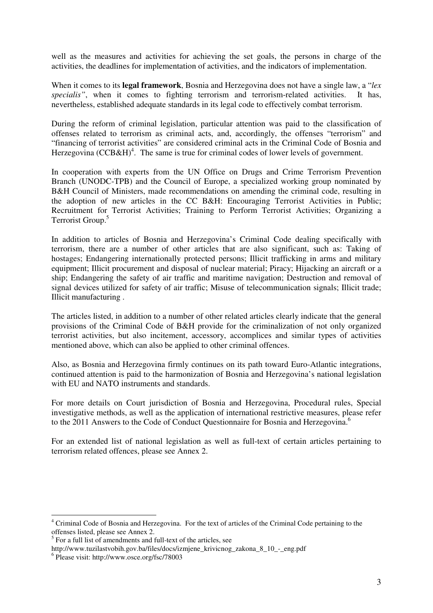well as the measures and activities for achieving the set goals, the persons in charge of the activities, the deadlines for implementation of activities, and the indicators of implementation.

When it comes to its **legal framework**, Bosnia and Herzegovina does not have a single law, a "*lex specialis"*, when it comes to fighting terrorism and terrorism-related activities. It has, nevertheless, established adequate standards in its legal code to effectively combat terrorism.

During the reform of criminal legislation, particular attention was paid to the classification of offenses related to terrorism as criminal acts, and, accordingly, the offenses "terrorism" and "financing of terrorist activities" are considered criminal acts in the Criminal Code of Bosnia and Herzegovina ( $CCB\&H$ )<sup>4</sup>. The same is true for criminal codes of lower levels of government.

In cooperation with experts from the UN Office on Drugs and Crime Terrorism Prevention Branch (UNODC-TPB) and the Council of Europe, a specialized working group nominated by B&H Council of Ministers, made recommendations on amending the criminal code, resulting in the adoption of new articles in the CC B&H: Encouraging Terrorist Activities in Public; Recruitment for Terrorist Activities; Training to Perform Terrorist Activities; Organizing a Terrorist Group.<sup>5</sup>

In addition to articles of Bosnia and Herzegovina's Criminal Code dealing specifically with terrorism, there are a number of other articles that are also significant, such as: Taking of hostages; Endangering internationally protected persons; Illicit trafficking in arms and military equipment; Illicit procurement and disposal of nuclear material; Piracy; Hijacking an aircraft or a ship; Endangering the safety of air traffic and maritime navigation; Destruction and removal of signal devices utilized for safety of air traffic; Misuse of telecommunication signals; Illicit trade; Illicit manufacturing .

The articles listed, in addition to a number of other related articles clearly indicate that the general provisions of the Criminal Code of B&H provide for the criminalization of not only organized terrorist activities, but also incitement, accessory, accomplices and similar types of activities mentioned above, which can also be applied to other criminal offences.

Also, as Bosnia and Herzegovina firmly continues on its path toward Euro-Atlantic integrations, continued attention is paid to the harmonization of Bosnia and Herzegovina's national legislation with EU and NATO instruments and standards.

For more details on Court jurisdiction of Bosnia and Herzegovina, Procedural rules, Special investigative methods, as well as the application of international restrictive measures, please refer to the 2011 Answers to the Code of Conduct Questionnaire for Bosnia and Herzegovina.<sup>6</sup>

For an extended list of national legislation as well as full-text of certain articles pertaining to terrorism related offences, please see Annex 2.

<sup>-</sup><sup>4</sup> Criminal Code of Bosnia and Herzegovina. For the text of articles of the Criminal Code pertaining to the offenses listed, please see Annex 2.

<sup>5</sup> For a full list of amendments and full-text of the articles, see

http://www.tuzilastvobih.gov.ba/files/docs/izmjene\_krivicnog\_zakona\_8\_10\_-\_eng.pdf

<sup>6</sup> Please visit: http://www.osce.org/fsc/78003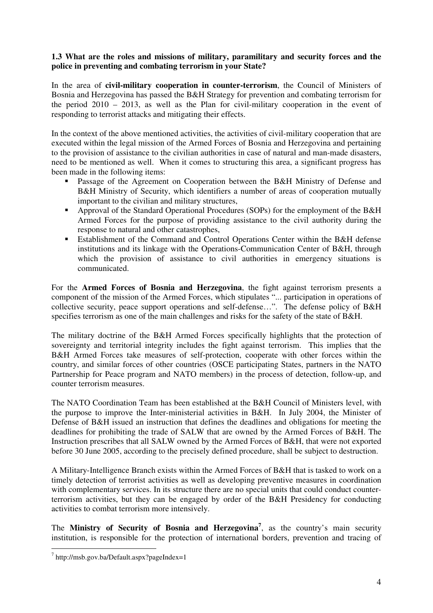## **1.3 What are the roles and missions of military, paramilitary and security forces and the police in preventing and combating terrorism in your State?**

In the area of **civil-military cooperation in counter-terrorism**, the Council of Ministers of Bosnia and Herzegovina has passed the B&H Strategy for prevention and combating terrorism for the period 2010 – 2013, as well as the Plan for civil-military cooperation in the event of responding to terrorist attacks and mitigating their effects.

In the context of the above mentioned activities, the activities of civil-military cooperation that are executed within the legal mission of the Armed Forces of Bosnia and Herzegovina and pertaining to the provision of assistance to the civilian authorities in case of natural and man-made disasters, need to be mentioned as well. When it comes to structuring this area, a significant progress has been made in the following items:

- Passage of the Agreement on Cooperation between the B&H Ministry of Defense and B&H Ministry of Security, which identifiers a number of areas of cooperation mutually important to the civilian and military structures,
- **-** Approval of the Standard Operational Procedures (SOPs) for the employment of the B&H Armed Forces for the purpose of providing assistance to the civil authority during the response to natural and other catastrophes,
- **Establishment of the Command and Control Operations Center within the B&H defense** institutions and its linkage with the Operations-Communication Center of B&H, through which the provision of assistance to civil authorities in emergency situations is communicated.

For the **Armed Forces of Bosnia and Herzegovina**, the fight against terrorism presents a component of the mission of the Armed Forces, which stipulates "... participation in operations of collective security, peace support operations and self-defense…". The defense policy of B&H specifies terrorism as one of the main challenges and risks for the safety of the state of B&H.

The military doctrine of the B&H Armed Forces specifically highlights that the protection of sovereignty and territorial integrity includes the fight against terrorism. This implies that the B&H Armed Forces take measures of self-protection, cooperate with other forces within the country, and similar forces of other countries (OSCE participating States, partners in the NATO Partnership for Peace program and NATO members) in the process of detection, follow-up, and counter terrorism measures.

The NATO Coordination Team has been established at the B&H Council of Ministers level, with the purpose to improve the Inter-ministerial activities in B&H. In July 2004, the Minister of Defense of B&H issued an instruction that defines the deadlines and obligations for meeting the deadlines for prohibiting the trade of SALW that are owned by the Armed Forces of B&H. The Instruction prescribes that all SALW owned by the Armed Forces of B&H, that were not exported before 30 June 2005, according to the precisely defined procedure, shall be subject to destruction.

A Military-Intelligence Branch exists within the Armed Forces of B&H that is tasked to work on a timely detection of terrorist activities as well as developing preventive measures in coordination with complementary services. In its structure there are no special units that could conduct counterterrorism activities, but they can be engaged by order of the B&H Presidency for conducting activities to combat terrorism more intensively.

The **Ministry of Security of Bosnia and Herzegovina<sup>7</sup>** , as the country's main security institution, is responsible for the protection of international borders, prevention and tracing of

<sup>7&</sup>lt;br>http://msb.gov.ba/Default.aspx?pageIndex=1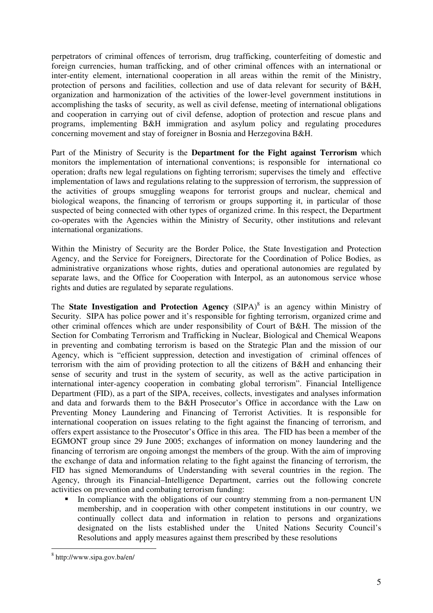perpetrators of criminal offences of terrorism, drug trafficking, counterfeiting of domestic and foreign currencies, human trafficking, and of other criminal offences with an international or inter-entity element, international cooperation in all areas within the remit of the Ministry, protection of persons and facilities, collection and use of data relevant for security of B&H, organization and harmonization of the activities of the lower-level government institutions in accomplishing the tasks of security, as well as civil defense, meeting of international obligations and cooperation in carrying out of civil defense, adoption of protection and rescue plans and programs, implementing B&H immigration and asylum policy and regulating procedures concerning movement and stay of foreigner in Bosnia and Herzegovina B&H.

Part of the Ministry of Security is the **Department for the Fight against Terrorism** which monitors the implementation of international conventions; is responsible for international co operation; drafts new legal regulations on fighting terrorism; supervises the timely and effective implementation of laws and regulations relating to the suppression of terrorism, the suppression of the activities of groups smuggling weapons for terrorist groups and nuclear, chemical and biological weapons, the financing of terrorism or groups supporting it, in particular of those suspected of being connected with other types of organized crime. In this respect, the Department co-operates with the Agencies within the Ministry of Security, other institutions and relevant international organizations.

Within the Ministry of Security are the Border Police, the State Investigation and Protection Agency, and the Service for Foreigners, Directorate for the Coordination of Police Bodies, as administrative organizations whose rights, duties and operational autonomies are regulated by separate laws, and the Office for Cooperation with Interpol, as an autonomous service whose rights and duties are regulated by separate regulations.

The **State Investigation and Protection Agency** (SIPA)<sup>8</sup> is an agency within Ministry of Security. SIPA has police power and it's responsible for fighting terrorism, organized crime and other criminal offences which are under responsibility of Court of B&H. The mission of the Section for Combating Terrorism and Trafficking in Nuclear, Biological and Chemical Weapons in preventing and combating terrorism is based on the Strategic Plan and the mission of our Agency, which is "efficient suppression, detection and investigation of criminal offences of terrorism with the aim of providing protection to all the citizens of B&H and enhancing their sense of security and trust in the system of security, as well as the active participation in international inter-agency cooperation in combating global terrorism". Financial Intelligence Department (FID), as a part of the SIPA, receives, collects, investigates and analyses information and data and forwards them to the B&H Prosecutor's Office in accordance with the Law on Preventing Money Laundering and Financing of Terrorist Activities. It is responsible for international cooperation on issues relating to the fight against the financing of terrorism, and offers expert assistance to the Prosecutor's Office in this area. The FID has been a member of the EGMONT group since 29 June 2005; exchanges of information on money laundering and the financing of terrorism are ongoing amongst the members of the group. With the aim of improving the exchange of data and information relating to the fight against the financing of terrorism, the FID has signed Memorandums of Understanding with several countries in the region. The Agency, through its Financial–Intelligence Department, carries out the following concrete activities on prevention and combating terrorism funding:

- In compliance with the obligations of our country stemming from a non-permanent UN membership, and in cooperation with other competent institutions in our country, we continually collect data and information in relation to persons and organizations designated on the lists established under the United Nations Security Council's Resolutions and apply measures against them prescribed by these resolutions

<sup>8&</sup>lt;br><sup>8</sup> http://www.sipa.gov.ba/en/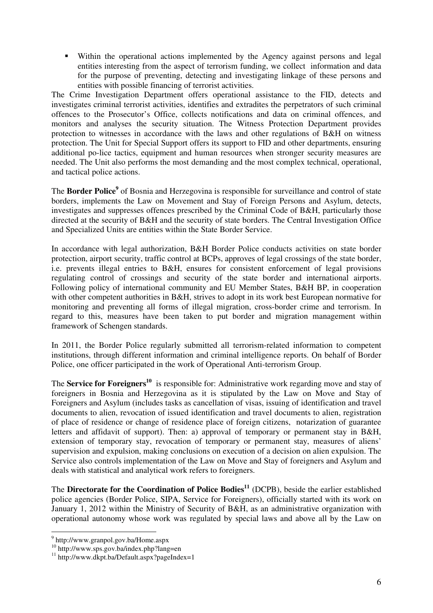- Within the operational actions implemented by the Agency against persons and legal entities interesting from the aspect of terrorism funding, we collect information and data for the purpose of preventing, detecting and investigating linkage of these persons and entities with possible financing of terrorist activities.

The Crime Investigation Department offers operational assistance to the FID, detects and investigates criminal terrorist activities, identifies and extradites the perpetrators of such criminal offences to the Prosecutor's Office, collects notifications and data on criminal offences, and monitors and analyses the security situation. The Witness Protection Department provides protection to witnesses in accordance with the laws and other regulations of B&H on witness protection. The Unit for Special Support offers its support to FID and other departments, ensuring additional po-lice tactics, equipment and human resources when stronger security measures are needed. The Unit also performs the most demanding and the most complex technical, operational, and tactical police actions.

The **Border Police<sup>9</sup>** of Bosnia and Herzegovina is responsible for surveillance and control of state borders, implements the Law on Movement and Stay of Foreign Persons and Asylum, detects, investigates and suppresses offences prescribed by the Criminal Code of B&H, particularly those directed at the security of B&H and the security of state borders. The Central Investigation Office and Specialized Units are entities within the State Border Service.

In accordance with legal authorization, B&H Border Police conducts activities on state border protection, airport security, traffic control at BCPs, approves of legal crossings of the state border, i.e. prevents illegal entries to B&H, ensures for consistent enforcement of legal provisions regulating control of crossings and security of the state border and international airports. Following policy of international community and EU Member States, B&H BP, in cooperation with other competent authorities in B&H, strives to adopt in its work best European normative for monitoring and preventing all forms of illegal migration, cross-border crime and terrorism. In regard to this, measures have been taken to put border and migration management within framework of Schengen standards.

In 2011, the Border Police regularly submitted all terrorism-related information to competent institutions, through different information and criminal intelligence reports. On behalf of Border Police, one officer participated in the work of Operational Anti-terrorism Group.

The **Service for Foreigners**<sup>10</sup> is responsible for: Administrative work regarding move and stay of foreigners in Bosnia and Herzegovina as it is stipulated by the Law on Move and Stay of Foreigners and Asylum (includes tasks as cancellation of visas, issuing of identification and travel documents to alien, revocation of issued identification and travel documents to alien, registration of place of residence or change of residence place of foreign citizens, notarization of guarantee letters and affidavit of support). Then: a) approval of temporary or permanent stay in B&H, extension of temporary stay, revocation of temporary or permanent stay, measures of aliens' supervision and expulsion, making conclusions on execution of a decision on alien expulsion. The Service also controls implementation of the Law on Move and Stay of foreigners and Asylum and deals with statistical and analytical work refers to foreigners.

The **Directorate for the Coordination of Police Bodies**<sup>11</sup> (DCPB), beside the earlier established police agencies (Border Police, SIPA, Service for Foreigners), officially started with its work on January 1, 2012 within the Ministry of Security of B&H, as an administrative organization with operational autonomy whose work was regulated by special laws and above all by the Law on

 9 http://www.granpol.gov.ba/Home.aspx

<sup>10&</sup>lt;br><sup>10</sup> http://www.sps.gov.ba/index.php?lang=en<br><sup>11</sup> http://www.dkpt.ba/Default.aspx?pageIndex=1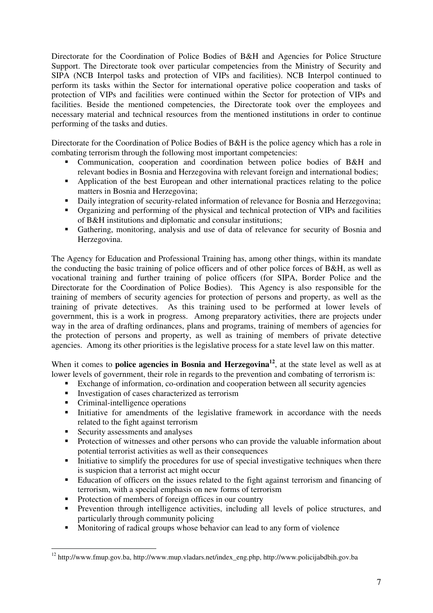Directorate for the Coordination of Police Bodies of B&H and Agencies for Police Structure Support. The Directorate took over particular competencies from the Ministry of Security and SIPA (NCB Interpol tasks and protection of VIPs and facilities). NCB Interpol continued to perform its tasks within the Sector for international operative police cooperation and tasks of protection of VIPs and facilities were continued within the Sector for protection of VIPs and facilities. Beside the mentioned competencies, the Directorate took over the employees and necessary material and technical resources from the mentioned institutions in order to continue performing of the tasks and duties.

Directorate for the Coordination of Police Bodies of B&H is the police agency which has a role in combating terrorism through the following most important competencies:

- - Communication, cooperation and coordination between police bodies of B&H and relevant bodies in Bosnia and Herzegovina with relevant foreign and international bodies;
- **•** Application of the best European and other international practices relating to the police matters in Bosnia and Herzegovina;
- Daily integration of security-related information of relevance for Bosnia and Herzegovina;
- Organizing and performing of the physical and technical protection of VIPs and facilities of B&H institutions and diplomatic and consular institutions;
- - Gathering, monitoring, analysis and use of data of relevance for security of Bosnia and Herzegovina.

The Agency for Education and Professional Training has, among other things, within its mandate the conducting the basic training of police officers and of other police forces of B&H, as well as vocational training and further training of police officers (for SIPA, Border Police and the Directorate for the Coordination of Police Bodies). This Agency is also responsible for the training of members of security agencies for protection of persons and property, as well as the training of private detectives. As this training used to be performed at lower levels of government, this is a work in progress. Among preparatory activities, there are projects under way in the area of drafting ordinances, plans and programs, training of members of agencies for the protection of persons and property, as well as training of members of private detective agencies. Among its other priorities is the legislative process for a state level law on this matter.

When it comes to **police agencies in Bosnia and Herzegovina**<sup>12</sup>, at the state level as well as at lower levels of government, their role in regards to the prevention and combating of terrorism is:

- **Exchange of information, co-ordination and cooperation between all security agencies**
- **Investigation of cases characterized as terrorism**
- Criminal-intelligence operations
- Initiative for amendments of the legislative framework in accordance with the needs related to the fight against terrorism
- **Security assessments and analyses**

-

- - Protection of witnesses and other persons who can provide the valuable information about potential terrorist activities as well as their consequences
- $\blacksquare$  Initiative to simplify the procedures for use of special investigative techniques when there is suspicion that a terrorist act might occur
- Education of officers on the issues related to the fight against terrorism and financing of terrorism, with a special emphasis on new forms of terrorism
- Protection of members of foreign offices in our country
- **•** Prevention through intelligence activities, including all levels of police structures, and particularly through community policing
- Monitoring of radical groups whose behavior can lead to any form of violence

<sup>&</sup>lt;sup>12</sup> http://www.fmup.gov.ba, http://www.mup.vladars.net/index\_eng.php, http://www.policijabdbih.gov.ba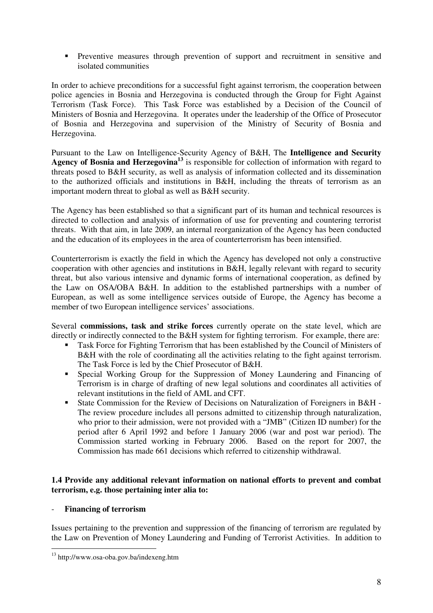- Preventive measures through prevention of support and recruitment in sensitive and isolated communities

In order to achieve preconditions for a successful fight against terrorism, the cooperation between police agencies in Bosnia and Herzegovina is conducted through the Group for Fight Against Terrorism (Task Force). This Task Force was established by a Decision of the Council of Ministers of Bosnia and Herzegovina. It operates under the leadership of the Office of Prosecutor of Bosnia and Herzegovina and supervision of the Ministry of Security of Bosnia and Herzegovina.

Pursuant to the Law on Intelligence-Security Agency of B&H, The **Intelligence and Security**  Agency of Bosnia and Herzegovina<sup>13</sup> is responsible for collection of information with regard to threats posed to B&H security, as well as analysis of information collected and its dissemination to the authorized officials and institutions in B&H, including the threats of terrorism as an important modern threat to global as well as B&H security.

The Agency has been established so that a significant part of its human and technical resources is directed to collection and analysis of information of use for preventing and countering terrorist threats. With that aim, in late 2009, an internal reorganization of the Agency has been conducted and the education of its employees in the area of counterterrorism has been intensified.

Counterterrorism is exactly the field in which the Agency has developed not only a constructive cooperation with other agencies and institutions in B&H, legally relevant with regard to security threat, but also various intensive and dynamic forms of international cooperation, as defined by the Law on OSA/OBA B&H. In addition to the established partnerships with a number of European, as well as some intelligence services outside of Europe, the Agency has become a member of two European intelligence services' associations.

Several **commissions, task and strike forces** currently operate on the state level, which are directly or indirectly connected to the B&H system for fighting terrorism. For example, there are:

- **Task Force for Fighting Terrorism that has been established by the Council of Ministers of** B&H with the role of coordinating all the activities relating to the fight against terrorism. The Task Force is led by the Chief Prosecutor of B&H.
- Special Working Group for the Suppression of Money Laundering and Financing of Terrorism is in charge of drafting of new legal solutions and coordinates all activities of relevant institutions in the field of AML and CFT.
- State Commission for the Review of Decisions on Naturalization of Foreigners in B&H The review procedure includes all persons admitted to citizenship through naturalization, who prior to their admission, were not provided with a "JMB" (Citizen ID number) for the period after 6 April 1992 and before 1 January 2006 (war and post war period). The Commission started working in February 2006. Based on the report for 2007, the Commission has made 661 decisions which referred to citizenship withdrawal.

## **1.4 Provide any additional relevant information on national efforts to prevent and combat terrorism, e.g. those pertaining inter alia to:**

## - **Financing of terrorism**

-

Issues pertaining to the prevention and suppression of the financing of terrorism are regulated by the Law on Prevention of Money Laundering and Funding of Terrorist Activities. In addition to

<sup>&</sup>lt;sup>13</sup> http://www.osa-oba.gov.ba/indexeng.htm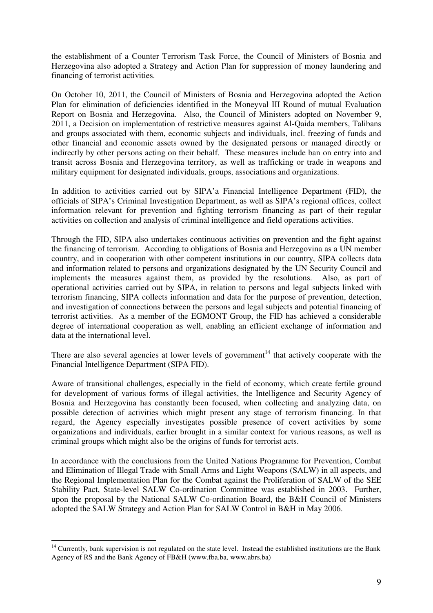the establishment of a Counter Terrorism Task Force, the Council of Ministers of Bosnia and Herzegovina also adopted a Strategy and Action Plan for suppression of money laundering and financing of terrorist activities.

On October 10, 2011, the Council of Ministers of Bosnia and Herzegovina adopted the Action Plan for elimination of deficiencies identified in the Moneyval III Round of mutual Evaluation Report on Bosnia and Herzegovina. Also, the Council of Ministers adopted on November 9, 2011, a Decision on implementation of restrictive measures against Al-Qaida members, Talibans and groups associated with them, economic subjects and individuals, incl. freezing of funds and other financial and economic assets owned by the designated persons or managed directly or indirectly by other persons acting on their behalf. These measures include ban on entry into and transit across Bosnia and Herzegovina territory, as well as trafficking or trade in weapons and military equipment for designated individuals, groups, associations and organizations.

In addition to activities carried out by SIPA'a Financial Intelligence Department (FID), the officials of SIPA's Criminal Investigation Department, as well as SIPA's regional offices, collect information relevant for prevention and fighting terrorism financing as part of their regular activities on collection and analysis of criminal intelligence and field operations activities.

Through the FID, SIPA also undertakes continuous activities on prevention and the fight against the financing of terrorism. According to obligations of Bosnia and Herzegovina as a UN member country, and in cooperation with other competent institutions in our country, SIPA collects data and information related to persons and organizations designated by the UN Security Council and implements the measures against them, as provided by the resolutions. Also, as part of operational activities carried out by SIPA, in relation to persons and legal subjects linked with terrorism financing, SIPA collects information and data for the purpose of prevention, detection, and investigation of connections between the persons and legal subjects and potential financing of terrorist activities. As a member of the EGMONT Group, the FID has achieved a considerable degree of international cooperation as well, enabling an efficient exchange of information and data at the international level.

There are also several agencies at lower levels of government<sup>14</sup> that actively cooperate with the Financial Intelligence Department (SIPA FID).

Aware of transitional challenges, especially in the field of economy, which create fertile ground for development of various forms of illegal activities, the Intelligence and Security Agency of Bosnia and Herzegovina has constantly been focused, when collecting and analyzing data, on possible detection of activities which might present any stage of terrorism financing. In that regard, the Agency especially investigates possible presence of covert activities by some organizations and individuals, earlier brought in a similar context for various reasons, as well as criminal groups which might also be the origins of funds for terrorist acts.

In accordance with the conclusions from the United Nations Programme for Prevention, Combat and Elimination of Illegal Trade with Small Arms and Light Weapons (SALW) in all aspects, and the Regional Implementation Plan for the Combat against the Proliferation of SALW of the SEE Stability Pact, State-level SALW Co-ordination Committee was established in 2003. Further, upon the proposal by the National SALW Co-ordination Board, the B&H Council of Ministers adopted the SALW Strategy and Action Plan for SALW Control in B&H in May 2006.

<u>.</u>

<sup>&</sup>lt;sup>14</sup> Currently, bank supervision is not regulated on the state level. Instead the established institutions are the Bank Agency of RS and the Bank Agency of FB&H (www.fba.ba, www.abrs.ba)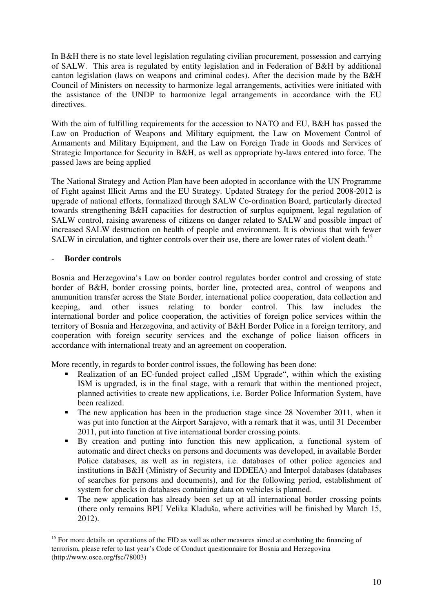In B&H there is no state level legislation regulating civilian procurement, possession and carrying of SALW. This area is regulated by entity legislation and in Federation of B&H by additional canton legislation (laws on weapons and criminal codes). After the decision made by the B&H Council of Ministers on necessity to harmonize legal arrangements, activities were initiated with the assistance of the UNDP to harmonize legal arrangements in accordance with the EU directives.

With the aim of fulfilling requirements for the accession to NATO and EU, B&H has passed the Law on Production of Weapons and Military equipment, the Law on Movement Control of Armaments and Military Equipment, and the Law on Foreign Trade in Goods and Services of Strategic Importance for Security in B&H, as well as appropriate by-laws entered into force. The passed laws are being applied

The National Strategy and Action Plan have been adopted in accordance with the UN Programme of Fight against Illicit Arms and the EU Strategy. Updated Strategy for the period 2008-2012 is upgrade of national efforts, formalized through SALW Co-ordination Board, particularly directed towards strengthening B&H capacities for destruction of surplus equipment, legal regulation of SALW control, raising awareness of citizens on danger related to SALW and possible impact of increased SALW destruction on health of people and environment. It is obvious that with fewer SALW in circulation, and tighter controls over their use, there are lower rates of violent death.<sup>15</sup>

## **Border controls**

-

Bosnia and Herzegovina's Law on border control regulates border control and crossing of state border of B&H, border crossing points, border line, protected area, control of weapons and ammunition transfer across the State Border, international police cooperation, data collection and keeping, and other issues relating to border control. This law includes the international border and police cooperation, the activities of foreign police services within the territory of Bosnia and Herzegovina, and activity of B&H Border Police in a foreign territory, and cooperation with foreign security services and the exchange of police liaison officers in accordance with international treaty and an agreement on cooperation.

More recently, in regards to border control issues, the following has been done:

- -Realization of an EC-funded project called "ISM Upgrade", within which the existing ISM is upgraded, is in the final stage, with a remark that within the mentioned project, planned activities to create new applications, i.e. Border Police Information System, have been realized.
- The new application has been in the production stage since 28 November 2011, when it was put into function at the Airport Sarajevo, with a remark that it was, until 31 December 2011, put into function at five international border crossing points.
- - By creation and putting into function this new application, a functional system of automatic and direct checks on persons and documents was developed, in available Border Police databases, as well as in registers, i.e. databases of other police agencies and institutions in B&H (Ministry of Security and IDDEEA) and Interpol databases (databases of searches for persons and documents), and for the following period, establishment of system for checks in databases containing data on vehicles is planned.
- - The new application has already been set up at all international border crossing points (there only remains BPU Velika Kladuša, where activities will be finished by March 15, 2012).

<sup>&</sup>lt;sup>15</sup> For more details on operations of the FID as well as other measures aimed at combating the financing of terrorism, please refer to last year's Code of Conduct questionnaire for Bosnia and Herzegovina (http://www.osce.org/fsc/78003)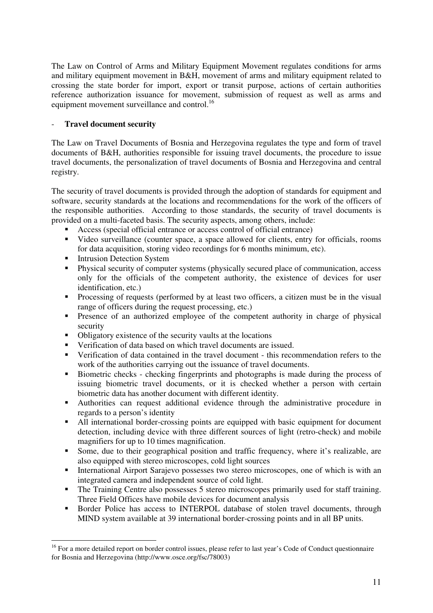The Law on Control of Arms and Military Equipment Movement regulates conditions for arms and military equipment movement in B&H, movement of arms and military equipment related to crossing the state border for import, export or transit purpose, actions of certain authorities reference authorization issuance for movement, submission of request as well as arms and equipment movement surveillance and control.<sup>16</sup>

## - **Travel document security**

The Law on Travel Documents of Bosnia and Herzegovina regulates the type and form of travel documents of B&H, authorities responsible for issuing travel documents, the procedure to issue travel documents, the personalization of travel documents of Bosnia and Herzegovina and central registry.

The security of travel documents is provided through the adoption of standards for equipment and software, security standards at the locations and recommendations for the work of the officers of the responsible authorities. According to those standards, the security of travel documents is provided on a multi-faceted basis. The security aspects, among others, include:

- Access (special official entrance or access control of official entrance)
- Video surveillance (counter space, a space allowed for clients, entry for officials, rooms for data acquisition, storing video recordings for 6 months minimum, etc).
- **Intrusion Detection System**

<u>.</u>

- Physical security of computer systems (physically secured place of communication, access only for the officials of the competent authority, the existence of devices for user identification, etc.)
- Processing of requests (performed by at least two officers, a citizen must be in the visual range of officers during the request processing, etc.)
- **•** Presence of an authorized employee of the competent authority in charge of physical security
- -Obligatory existence of the security vaults at the locations
- Verification of data based on which travel documents are issued.
- Verification of data contained in the travel document this recommendation refers to the work of the authorities carrying out the issuance of travel documents.
- Biometric checks checking fingerprints and photographs is made during the process of issuing biometric travel documents, or it is checked whether a person with certain biometric data has another document with different identity.
- Authorities can request additional evidence through the administrative procedure in regards to a person's identity
- All international border-crossing points are equipped with basic equipment for document detection, including device with three different sources of light (retro-check) and mobile magnifiers for up to 10 times magnification.
- - Some, due to their geographical position and traffic frequency, where it's realizable, are also equipped with stereo microscopes, cold light sources
- - International Airport Sarajevo possesses two stereo microscopes, one of which is with an integrated camera and independent source of cold light.
- - The Training Centre also possesses 5 stereo microscopes primarily used for staff training. Three Field Offices have mobile devices for document analysis
- - Border Police has access to INTERPOL database of stolen travel documents, through MIND system available at 39 international border-crossing points and in all BP units.

<sup>&</sup>lt;sup>16</sup> For a more detailed report on border control issues, please refer to last year's Code of Conduct questionnaire for Bosnia and Herzegovina (http://www.osce.org/fsc/78003)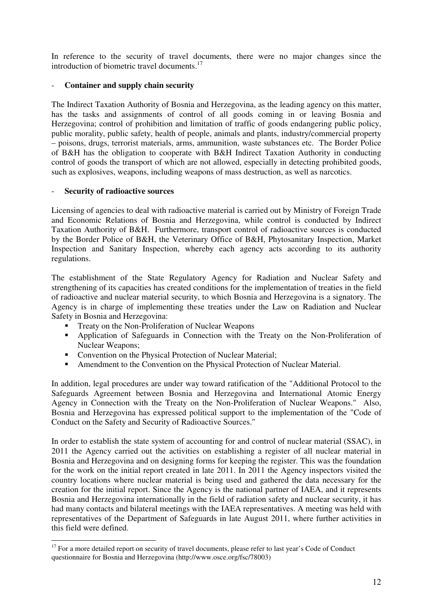In reference to the security of travel documents, there were no major changes since the introduction of biometric travel documents.<sup>17</sup>

## - **Container and supply chain security**

The Indirect Taxation Authority of Bosnia and Herzegovina, as the leading agency on this matter, has the tasks and assignments of control of all goods coming in or leaving Bosnia and Herzegovina; control of prohibition and limitation of traffic of goods endangering public policy, public morality, public safety, health of people, animals and plants, industry/commercial property – poisons, drugs, terrorist materials, arms, ammunition, waste substances etc. The Border Police of B&H has the obligation to cooperate with B&H Indirect Taxation Authority in conducting control of goods the transport of which are not allowed, especially in detecting prohibited goods, such as explosives, weapons, including weapons of mass destruction, as well as narcotics.

## - **Security of radioactive sources**

<u>.</u>

Licensing of agencies to deal with radioactive material is carried out by Ministry of Foreign Trade and Economic Relations of Bosnia and Herzegovina, while control is conducted by Indirect Taxation Authority of B&H. Furthermore, transport control of radioactive sources is conducted by the Border Police of B&H, the Veterinary Office of B&H, Phytosanitary Inspection, Market Inspection and Sanitary Inspection, whereby each agency acts according to its authority regulations.

The establishment of the State Regulatory Agency for Radiation and Nuclear Safety and strengthening of its capacities has created conditions for the implementation of treaties in the field of radioactive and nuclear material security, to which Bosnia and Herzegovina is a signatory. The Agency is in charge of implementing these treaties under the Law on Radiation and Nuclear Safety in Bosnia and Herzegovina:

- **Treaty on the Non-Proliferation of Nuclear Weapons**
- Application of Safeguards in Connection with the Treaty on the Non-Proliferation of Nuclear Weapons;
- Convention on the Physical Protection of Nuclear Material;
- -Amendment to the Convention on the Physical Protection of Nuclear Material.

In addition, legal procedures are under way toward ratification of the "Additional Protocol to the Safeguards Agreement between Bosnia and Herzegovina and International Atomic Energy Agency in Connection with the Treaty on the Non-Proliferation of Nuclear Weapons." Also, Bosnia and Herzegovina has expressed political support to the implementation of the "Code of Conduct on the Safety and Security of Radioactive Sources."

In order to establish the state system of accounting for and control of nuclear material (SSAC), in 2011 the Agency carried out the activities on establishing a register of all nuclear material in Bosnia and Herzegovina and on designing forms for keeping the register. This was the foundation for the work on the initial report created in late 2011. In 2011 the Agency inspectors visited the country locations where nuclear material is being used and gathered the data necessary for the creation for the initial report. Since the Agency is the national partner of IAEA, and it represents Bosnia and Herzegovina internationally in the field of radiation safety and nuclear security, it has had many contacts and bilateral meetings with the IAEA representatives. A meeting was held with representatives of the Department of Safeguards in late August 2011, where further activities in this field were defined.

<sup>&</sup>lt;sup>17</sup> For a more detailed report on security of travel documents, please refer to last year's Code of Conduct questionnaire for Bosnia and Herzegovina (http://www.osce.org/fsc/78003)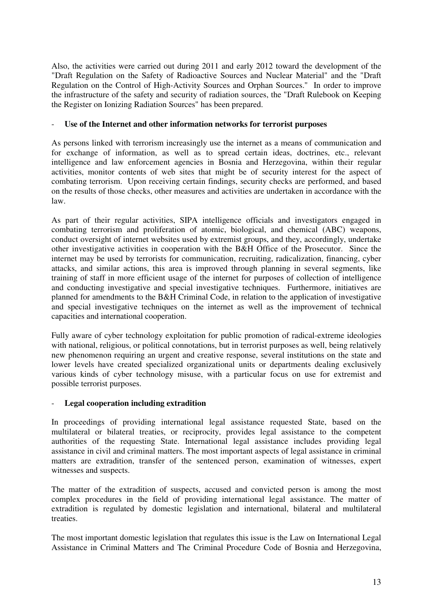Also, the activities were carried out during 2011 and early 2012 toward the development of the "Draft Regulation on the Safety of Radioactive Sources and Nuclear Material" and the "Draft Regulation on the Control of High-Activity Sources and Orphan Sources." In order to improve the infrastructure of the safety and security of radiation sources, the "Draft Rulebook on Keeping the Register on Ionizing Radiation Sources" has been prepared.

## - **Use of the Internet and other information networks for terrorist purposes**

As persons linked with terrorism increasingly use the internet as a means of communication and for exchange of information, as well as to spread certain ideas, doctrines, etc., relevant intelligence and law enforcement agencies in Bosnia and Herzegovina, within their regular activities, monitor contents of web sites that might be of security interest for the aspect of combating terrorism. Upon receiving certain findings, security checks are performed, and based on the results of those checks, other measures and activities are undertaken in accordance with the law.

As part of their regular activities, SIPA intelligence officials and investigators engaged in combating terrorism and proliferation of atomic, biological, and chemical (ABC) weapons, conduct oversight of internet websites used by extremist groups, and they, accordingly, undertake other investigative activities in cooperation with the B&H Office of the Prosecutor. Since the internet may be used by terrorists for communication, recruiting, radicalization, financing, cyber attacks, and similar actions, this area is improved through planning in several segments, like training of staff in more efficient usage of the internet for purposes of collection of intelligence and conducting investigative and special investigative techniques. Furthermore, initiatives are planned for amendments to the B&H Criminal Code, in relation to the application of investigative and special investigative techniques on the internet as well as the improvement of technical capacities and international cooperation.

Fully aware of cyber technology exploitation for public promotion of radical-extreme ideologies with national, religious, or political connotations, but in terrorist purposes as well, being relatively new phenomenon requiring an urgent and creative response, several institutions on the state and lower levels have created specialized organizational units or departments dealing exclusively various kinds of cyber technology misuse, with a particular focus on use for extremist and possible terrorist purposes.

## - **Legal cooperation including extradition**

In proceedings of providing international legal assistance requested State, based on the multilateral or bilateral treaties, or reciprocity, provides legal assistance to the competent authorities of the requesting State. International legal assistance includes providing legal assistance in civil and criminal matters. The most important aspects of legal assistance in criminal matters are extradition, transfer of the sentenced person, examination of witnesses, expert witnesses and suspects.

The matter of the extradition of suspects, accused and convicted person is among the most complex procedures in the field of providing international legal assistance. The matter of extradition is regulated by domestic legislation and international, bilateral and multilateral treaties.

The most important domestic legislation that regulates this issue is the Law on International Legal Assistance in Criminal Matters and The Criminal Procedure Code of Bosnia and Herzegovina,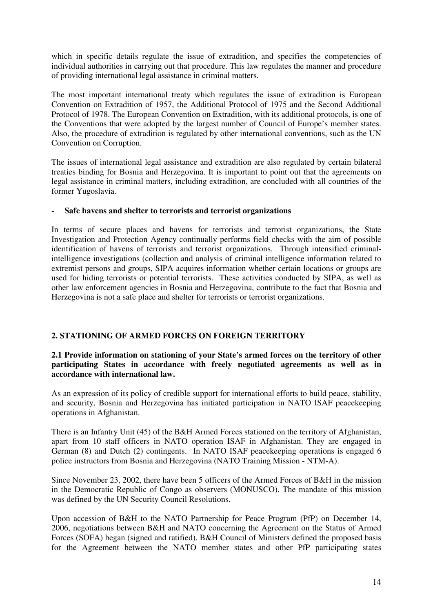which in specific details regulate the issue of extradition, and specifies the competencies of individual authorities in carrying out that procedure. This law regulates the manner and procedure of providing international legal assistance in criminal matters.

The most important international treaty which regulates the issue of extradition is European Convention on Extradition of 1957, the Additional Protocol of 1975 and the Second Additional Protocol of 1978. The European Convention on Extradition, with its additional protocols, is one of the Conventions that were adopted by the largest number of Council of Europe's member states. Also, the procedure of extradition is regulated by other international conventions, such as the UN Convention on Corruption.

The issues of international legal assistance and extradition are also regulated by certain bilateral treaties binding for Bosnia and Herzegovina. It is important to point out that the agreements on legal assistance in criminal matters, including extradition, are concluded with all countries of the former Yugoslavia.

## - **Safe havens and shelter to terrorists and terrorist organizations**

In terms of secure places and havens for terrorists and terrorist organizations, the State Investigation and Protection Agency continually performs field checks with the aim of possible identification of havens of terrorists and terrorist organizations. Through intensified criminalintelligence investigations (collection and analysis of criminal intelligence information related to extremist persons and groups, SIPA acquires information whether certain locations or groups are used for hiding terrorists or potential terrorists. These activities conducted by SIPA, as well as other law enforcement agencies in Bosnia and Herzegovina, contribute to the fact that Bosnia and Herzegovina is not a safe place and shelter for terrorists or terrorist organizations.

## **2. STATIONING OF ARMED FORCES ON FOREIGN TERRITORY**

## **2.1 Provide information on stationing of your State's armed forces on the territory of other participating States in accordance with freely negotiated agreements as well as in accordance with international law.**

As an expression of its policy of credible support for international efforts to build peace, stability, and security, Bosnia and Herzegovina has initiated participation in NATO ISAF peacekeeping operations in Afghanistan.

There is an Infantry Unit (45) of the B&H Armed Forces stationed on the territory of Afghanistan, apart from 10 staff officers in NATO operation ISAF in Afghanistan. They are engaged in German (8) and Dutch (2) contingents. In NATO ISAF peacekeeping operations is engaged 6 police instructors from Bosnia and Herzegovina (NATO Training Mission - NTM-A).

Since November 23, 2002, there have been 5 officers of the Armed Forces of B&H in the mission in the Democratic Republic of Congo as observers (MONUSCO). The mandate of this mission was defined by the UN Security Council Resolutions.

Upon accession of B&H to the NATO Partnership for Peace Program (PfP) on December 14, 2006, negotiations between B&H and NATO concerning the Agreement on the Status of Armed Forces (SOFA) began (signed and ratified). B&H Council of Ministers defined the proposed basis for the Agreement between the NATO member states and other PfP participating states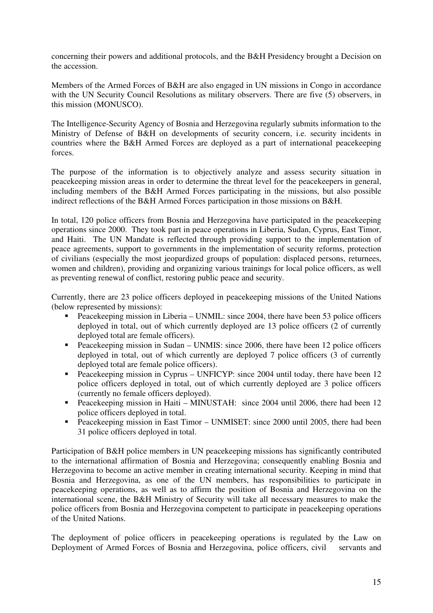concerning their powers and additional protocols, and the B&H Presidency brought a Decision on the accession.

Members of the Armed Forces of B&H are also engaged in UN missions in Congo in accordance with the UN Security Council Resolutions as military observers. There are five (5) observers, in this mission (MONUSCO).

The Intelligence-Security Agency of Bosnia and Herzegovina regularly submits information to the Ministry of Defense of B&H on developments of security concern, i.e. security incidents in countries where the B&H Armed Forces are deployed as a part of international peacekeeping forces.

The purpose of the information is to objectively analyze and assess security situation in peacekeeping mission areas in order to determine the threat level for the peacekeepers in general, including members of the B&H Armed Forces participating in the missions, but also possible indirect reflections of the B&H Armed Forces participation in those missions on B&H.

In total, 120 police officers from Bosnia and Herzegovina have participated in the peacekeeping operations since 2000. They took part in peace operations in Liberia, Sudan, Cyprus, East Timor, and Haiti. The UN Mandate is reflected through providing support to the implementation of peace agreements, support to governments in the implementation of security reforms, protection of civilians (especially the most jeopardized groups of population: displaced persons, returnees, women and children), providing and organizing various trainings for local police officers, as well as preventing renewal of conflict, restoring public peace and security.

Currently, there are 23 police officers deployed in peacekeeping missions of the United Nations (below represented by missions):

- Peacekeeping mission in Liberia UNMIL: since 2004, there have been 53 police officers deployed in total, out of which currently deployed are 13 police officers (2 of currently deployed total are female officers).
- Peacekeeping mission in Sudan UNMIS: since 2006, there have been 12 police officers deployed in total, out of which currently are deployed 7 police officers (3 of currently deployed total are female police officers).
- Peacekeeping mission in Cyprus UNFICYP: since 2004 until today, there have been 12 police officers deployed in total, out of which currently deployed are 3 police officers (currently no female officers deployed).
- Peacekeeping mission in Haiti MINUSTAH: since 2004 until 2006, there had been 12 police officers deployed in total.
- Peacekeeping mission in East Timor UNMISET: since 2000 until 2005, there had been 31 police officers deployed in total.

Participation of B&H police members in UN peacekeeping missions has significantly contributed to the international affirmation of Bosnia and Herzegovina; consequently enabling Bosnia and Herzegovina to become an active member in creating international security. Keeping in mind that Bosnia and Herzegovina, as one of the UN members, has responsibilities to participate in peacekeeping operations, as well as to affirm the position of Bosnia and Herzegovina on the international scene, the B&H Ministry of Security will take all necessary measures to make the police officers from Bosnia and Herzegovina competent to participate in peacekeeping operations of the United Nations.

The deployment of police officers in peacekeeping operations is regulated by the Law on Deployment of Armed Forces of Bosnia and Herzegovina, police officers, civil servants and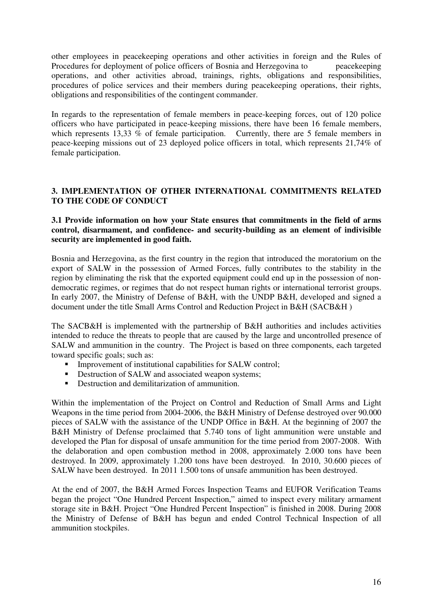other employees in peacekeeping operations and other activities in foreign and the Rules of Procedures for deployment of police officers of Bosnia and Herzegovina to peacekeeping operations, and other activities abroad, trainings, rights, obligations and responsibilities, procedures of police services and their members during peacekeeping operations, their rights, obligations and responsibilities of the contingent commander.

In regards to the representation of female members in peace-keeping forces, out of 120 police officers who have participated in peace-keeping missions, there have been 16 female members, which represents 13,33  $\%$  of female participation. Currently, there are 5 female members in peace-keeping missions out of 23 deployed police officers in total, which represents 21,74% of female participation.

## **3. IMPLEMENTATION OF OTHER INTERNATIONAL COMMITMENTS RELATED TO THE CODE OF CONDUCT**

#### **3.1 Provide information on how your State ensures that commitments in the field of arms control, disarmament, and confidence- and security-building as an element of indivisible security are implemented in good faith.**

Bosnia and Herzegovina, as the first country in the region that introduced the moratorium on the export of SALW in the possession of Armed Forces, fully contributes to the stability in the region by eliminating the risk that the exported equipment could end up in the possession of nondemocratic regimes, or regimes that do not respect human rights or international terrorist groups. In early 2007, the Ministry of Defense of B&H, with the UNDP B&H, developed and signed a document under the title Small Arms Control and Reduction Project in B&H (SACB&H )

The SACB&H is implemented with the partnership of B&H authorities and includes activities intended to reduce the threats to people that are caused by the large and uncontrolled presence of SALW and ammunition in the country. The Project is based on three components, each targeted toward specific goals; such as:

- **Improvement of institutional capabilities for SALW control;**
- **Destruction of SALW and associated weapon systems;**
- **•** Destruction and demilitarization of ammunition.

Within the implementation of the Project on Control and Reduction of Small Arms and Light Weapons in the time period from 2004-2006, the B&H Ministry of Defense destroyed over 90.000 pieces of SALW with the assistance of the UNDP Office in B&H. At the beginning of 2007 the B&H Ministry of Defense proclaimed that 5.740 tons of light ammunition were unstable and developed the Plan for disposal of unsafe ammunition for the time period from 2007-2008. With the delaboration and open combustion method in 2008, approximately 2.000 tons have been destroyed. In 2009, approximately 1.200 tons have been destroyed. In 2010, 30.600 pieces of SALW have been destroyed. In 2011 1.500 tons of unsafe ammunition has been destroyed.

At the end of 2007, the B&H Armed Forces Inspection Teams and EUFOR Verification Teams began the project "One Hundred Percent Inspection," aimed to inspect every military armament storage site in B&H. Project "One Hundred Percent Inspection" is finished in 2008. During 2008 the Ministry of Defense of B&H has begun and ended Control Technical Inspection of all ammunition stockpiles.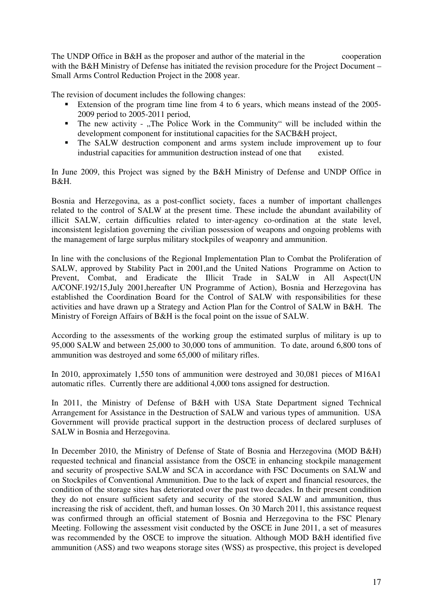The UNDP Office in B&H as the proposer and author of the material in the cooperation with the B&H Ministry of Defense has initiated the revision procedure for the Project Document – Small Arms Control Reduction Project in the 2008 year.

The revision of document includes the following changes:

- - Extension of the program time line from 4 to 6 years, which means instead of the 2005- 2009 period to 2005-2011 period,
- The new activity "The Police Work in the Community" will be included within the development component for institutional capacities for the SACB&H project,
- - The SALW destruction component and arms system include improvement up to four industrial capacities for ammunition destruction instead of one that existed.

In June 2009, this Project was signed by the B&H Ministry of Defense and UNDP Office in B&H.

Bosnia and Herzegovina, as a post-conflict society, faces a number of important challenges related to the control of SALW at the present time. These include the abundant availability of illicit SALW, certain difficulties related to inter-agency co-ordination at the state level, inconsistent legislation governing the civilian possession of weapons and ongoing problems with the management of large surplus military stockpiles of weaponry and ammunition.

In line with the conclusions of the Regional Implementation Plan to Combat the Proliferation of SALW, approved by Stability Pact in 2001,and the United Nations Programme on Action to Prevent, Combat, and Eradicate the Illicit Trade in SALW in All Aspect(UN A/CONF.192/15,July 2001,hereafter UN Programme of Action), Bosnia and Herzegovina has established the Coordination Board for the Control of SALW with responsibilities for these activities and have drawn up a Strategy and Action Plan for the Control of SALW in B&H. The Ministry of Foreign Affairs of B&H is the focal point on the issue of SALW.

According to the assessments of the working group the estimated surplus of military is up to 95,000 SALW and between 25,000 to 30,000 tons of ammunition. To date, around 6,800 tons of ammunition was destroyed and some 65,000 of military rifles.

In 2010, approximately 1,550 tons of ammunition were destroyed and 30,081 pieces of M16A1 automatic rifles. Currently there are additional 4,000 tons assigned for destruction.

In 2011, the Ministry of Defense of B&H with USA State Department signed Technical Arrangement for Assistance in the Destruction of SALW and various types of ammunition. USA Government will provide practical support in the destruction process of declared surpluses of SALW in Bosnia and Herzegovina.

In December 2010, the Ministry of Defense of State of Bosnia and Herzegovina (MOD B&H) requested technical and financial assistance from the OSCE in enhancing stockpile management and security of prospective SALW and SCA in accordance with FSC Documents on SALW and on Stockpiles of Conventional Ammunition. Due to the lack of expert and financial resources, the condition of the storage sites has deteriorated over the past two decades. In their present condition they do not ensure sufficient safety and security of the stored SALW and ammunition, thus increasing the risk of accident, theft, and human losses. On 30 March 2011, this assistance request was confirmed through an official statement of Bosnia and Herzegovina to the FSC Plenary Meeting. Following the assessment visit conducted by the OSCE in June 2011, a set of measures was recommended by the OSCE to improve the situation. Although MOD B&H identified five ammunition (ASS) and two weapons storage sites (WSS) as prospective, this project is developed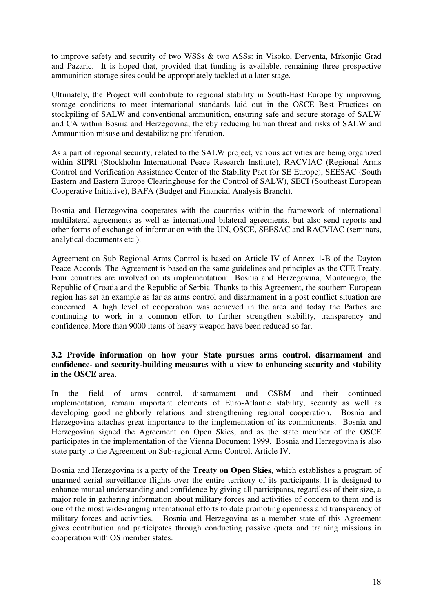to improve safety and security of two WSSs & two ASSs: in Visoko, Derventa, Mrkonjic Grad and Pazaric. It is hoped that, provided that funding is available, remaining three prospective ammunition storage sites could be appropriately tackled at a later stage.

Ultimately, the Project will contribute to regional stability in South-East Europe by improving storage conditions to meet international standards laid out in the OSCE Best Practices on stockpiling of SALW and conventional ammunition, ensuring safe and secure storage of SALW and CA within Bosnia and Herzegovina, thereby reducing human threat and risks of SALW and Ammunition misuse and destabilizing proliferation.

As a part of regional security, related to the SALW project, various activities are being organized within SIPRI (Stockholm International Peace Research Institute), RACVIAC (Regional Arms Control and Verification Assistance Center of the Stability Pact for SE Europe), SEESAC (South Eastern and Eastern Europe Clearinghouse for the Control of SALW), SECI (Southeast European Cooperative Initiative), BAFA (Budget and Financial Analysis Branch).

Bosnia and Herzegovina cooperates with the countries within the framework of international multilateral agreements as well as international bilateral agreements, but also send reports and other forms of exchange of information with the UN, OSCE, SEESAC and RACVIAC (seminars, analytical documents etc.).

Agreement on Sub Regional Arms Control is based on Article IV of Annex 1-B of the Dayton Peace Accords. The Agreement is based on the same guidelines and principles as the CFE Treaty. Four countries are involved on its implementation: Bosnia and Herzegovina, Montenegro, the Republic of Croatia and the Republic of Serbia. Thanks to this Agreement, the southern European region has set an example as far as arms control and disarmament in a post conflict situation are concerned. A high level of cooperation was achieved in the area and today the Parties are continuing to work in a common effort to further strengthen stability, transparency and confidence. More than 9000 items of heavy weapon have been reduced so far.

## **3.2 Provide information on how your State pursues arms control, disarmament and confidence- and security-building measures with a view to enhancing security and stability in the OSCE area**.

In the field of arms control, disarmament and CSBM and their continued implementation, remain important elements of Euro-Atlantic stability, security as well as developing good neighborly relations and strengthening regional cooperation. Bosnia and Herzegovina attaches great importance to the implementation of its commitments. Bosnia and Herzegovina signed the Agreement on Open Skies, and as the state member of the OSCE participates in the implementation of the Vienna Document 1999. Bosnia and Herzegovina is also state party to the Agreement on Sub-regional Arms Control, Article IV.

Bosnia and Herzegovina is a party of the **Treaty on Open Skies**, which establishes a program of unarmed aerial surveillance flights over the entire territory of its participants. It is designed to enhance mutual understanding and confidence by giving all participants, regardless of their size, a major role in gathering information about military forces and activities of concern to them and is one of the most wide-ranging international efforts to date promoting openness and transparency of military forces and activities. Bosnia and Herzegovina as a member state of this Agreement gives contribution and participates through conducting passive quota and training missions in cooperation with OS member states.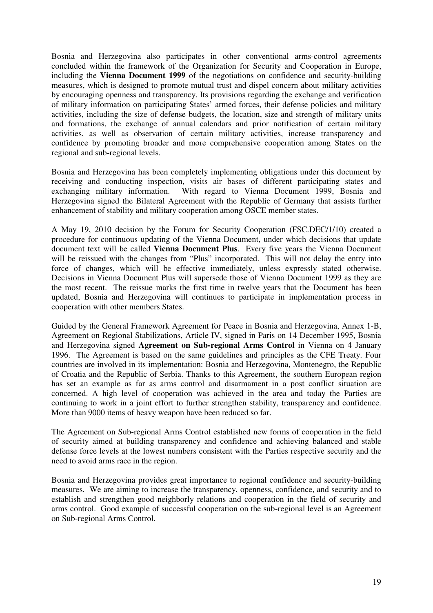Bosnia and Herzegovina also participates in other conventional arms-control agreements concluded within the framework of the Organization for Security and Cooperation in Europe, including the **Vienna Document 1999** of the negotiations on confidence and security-building measures, which is designed to promote mutual trust and dispel concern about military activities by encouraging openness and transparency. Its provisions regarding the exchange and verification of military information on participating States' armed forces, their defense policies and military activities, including the size of defense budgets, the location, size and strength of military units and formations, the exchange of annual calendars and prior notification of certain military activities, as well as observation of certain military activities, increase transparency and confidence by promoting broader and more comprehensive cooperation among States on the regional and sub-regional levels.

Bosnia and Herzegovina has been completely implementing obligations under this document by receiving and conducting inspection, visits air bases of different participating states and exchanging military information. With regard to Vienna Document 1999, Bosnia and Herzegovina signed the Bilateral Agreement with the Republic of Germany that assists further enhancement of stability and military cooperation among OSCE member states.

A May 19, 2010 decision by the Forum for Security Cooperation (FSC.DEC/1/10) created a procedure for continuous updating of the Vienna Document, under which decisions that update document text will be called **Vienna Document Plus**. Every five years the Vienna Document will be reissued with the changes from "Plus" incorporated. This will not delay the entry into force of changes, which will be effective immediately, unless expressly stated otherwise. Decisions in Vienna Document Plus will supersede those of Vienna Document 1999 as they are the most recent. The reissue marks the first time in twelve years that the Document has been updated, Bosnia and Herzegovina will continues to participate in implementation process in cooperation with other members States.

Guided by the General Framework Agreement for Peace in Bosnia and Herzegovina, Annex 1-B, Agreement on Regional Stabilizations, Article IV, signed in Paris on 14 December 1995, Bosnia and Herzegovina signed **Agreement on Sub-regional Arms Control** in Vienna on 4 January 1996. The Agreement is based on the same guidelines and principles as the CFE Treaty. Four countries are involved in its implementation: Bosnia and Herzegovina, Montenegro, the Republic of Croatia and the Republic of Serbia. Thanks to this Agreement, the southern European region has set an example as far as arms control and disarmament in a post conflict situation are concerned. A high level of cooperation was achieved in the area and today the Parties are continuing to work in a joint effort to further strengthen stability, transparency and confidence. More than 9000 items of heavy weapon have been reduced so far.

The Agreement on Sub-regional Arms Control established new forms of cooperation in the field of security aimed at building transparency and confidence and achieving balanced and stable defense force levels at the lowest numbers consistent with the Parties respective security and the need to avoid arms race in the region.

Bosnia and Herzegovina provides great importance to regional confidence and security-building measures. We are aiming to increase the transparency, openness, confidence, and security and to establish and strengthen good neighborly relations and cooperation in the field of security and arms control. Good example of successful cooperation on the sub-regional level is an Agreement on Sub-regional Arms Control.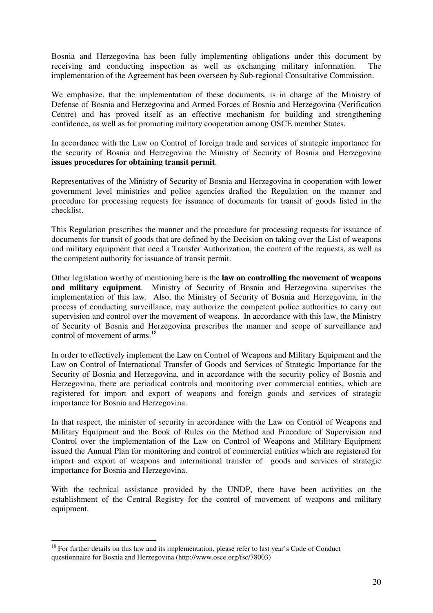Bosnia and Herzegovina has been fully implementing obligations under this document by receiving and conducting inspection as well as exchanging military information. The implementation of the Agreement has been overseen by Sub-regional Consultative Commission.

We emphasize, that the implementation of these documents, is in charge of the Ministry of Defense of Bosnia and Herzegovina and Armed Forces of Bosnia and Herzegovina (Verification Centre) and has proved itself as an effective mechanism for building and strengthening confidence, as well as for promoting military cooperation among OSCE member States.

In accordance with the Law on Control of foreign trade and services of strategic importance for the security of Bosnia and Herzegovina the Ministry of Security of Bosnia and Herzegovina **issues procedures for obtaining transit permit**.

Representatives of the Ministry of Security of Bosnia and Herzegovina in cooperation with lower government level ministries and police agencies drafted the Regulation on the manner and procedure for processing requests for issuance of documents for transit of goods listed in the checklist.

This Regulation prescribes the manner and the procedure for processing requests for issuance of documents for transit of goods that are defined by the Decision on taking over the List of weapons and military equipment that need a Transfer Authorization, the content of the requests, as well as the competent authority for issuance of transit permit.

Other legislation worthy of mentioning here is the **law on controlling the movement of weapons and military equipment**. Ministry of Security of Bosnia and Herzegovina supervises the implementation of this law. Also, the Ministry of Security of Bosnia and Herzegovina, in the process of conducting surveillance, may authorize the competent police authorities to carry out supervision and control over the movement of weapons. In accordance with this law, the Ministry of Security of Bosnia and Herzegovina prescribes the manner and scope of surveillance and control of movement of arms.<sup>18</sup>

In order to effectively implement the Law on Control of Weapons and Military Equipment and the Law on Control of International Transfer of Goods and Services of Strategic Importance for the Security of Bosnia and Herzegovina, and in accordance with the security policy of Bosnia and Herzegovina, there are periodical controls and monitoring over commercial entities, which are registered for import and export of weapons and foreign goods and services of strategic importance for Bosnia and Herzegovina.

In that respect, the minister of security in accordance with the Law on Control of Weapons and Military Equipment and the Book of Rules on the Method and Procedure of Supervision and Control over the implementation of the Law on Control of Weapons and Military Equipment issued the Annual Plan for monitoring and control of commercial entities which are registered for import and export of weapons and international transfer of goods and services of strategic importance for Bosnia and Herzegovina.

With the technical assistance provided by the UNDP, there have been activities on the establishment of the Central Registry for the control of movement of weapons and military equipment.

<u>.</u>

<sup>&</sup>lt;sup>18</sup> For further details on this law and its implementation, please refer to last year's Code of Conduct questionnaire for Bosnia and Herzegovina (http://www.osce.org/fsc/78003)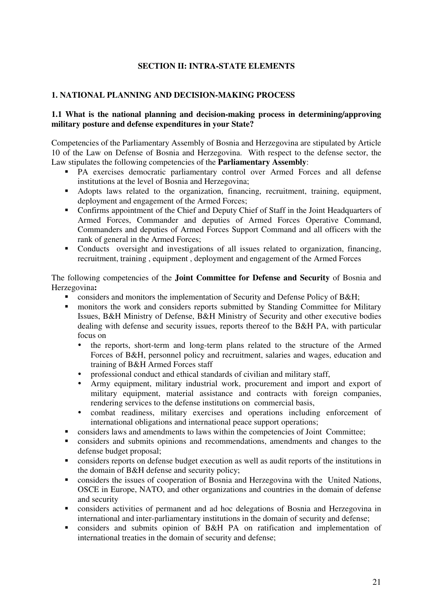## **SECTION II: INTRA-STATE ELEMENTS**

## **1. NATIONAL PLANNING AND DECISION-MAKING PROCESS**

### **1.1 What is the national planning and decision-making process in determining/approving military posture and defense expenditures in your State?**

Competencies of the Parliamentary Assembly of Bosnia and Herzegovina are stipulated by Article 10 of the Law on Defense of Bosnia and Herzegovina. With respect to the defense sector, the Law stipulates the following competencies of the **Parliamentary Assembly**:

- PA exercises democratic parliamentary control over Armed Forces and all defense institutions at the level of Bosnia and Herzegovina;
- Adopts laws related to the organization, financing, recruitment, training, equipment, deployment and engagement of the Armed Forces;
- **Confirms appointment of the Chief and Deputy Chief of Staff in the Joint Headquarters of** Armed Forces, Commander and deputies of Armed Forces Operative Command, Commanders and deputies of Armed Forces Support Command and all officers with the rank of general in the Armed Forces;
- Conducts oversight and investigations of all issues related to organization, financing, recruitment, training , equipment , deployment and engagement of the Armed Forces

The following competencies of the **Joint Committee for Defense and Security** of Bosnia and Herzegovina**:**

- considers and monitors the implementation of Security and Defense Policy of B&H;
- monitors the work and considers reports submitted by Standing Committee for Military Issues, B&H Ministry of Defense, B&H Ministry of Security and other executive bodies dealing with defense and security issues, reports thereof to the B&H PA, with particular focus on
	- the reports, short-term and long-term plans related to the structure of the Armed Forces of B&H, personnel policy and recruitment, salaries and wages, education and training of B&H Armed Forces staff
	- professional conduct and ethical standards of civilian and military staff,
	- Army equipment, military industrial work, procurement and import and export of military equipment, material assistance and contracts with foreign companies, rendering services to the defense institutions on commercial basis,
	- combat readiness, military exercises and operations including enforcement of international obligations and international peace support operations;
- considers laws and amendments to laws within the competencies of Joint Committee;
- considers and submits opinions and recommendations, amendments and changes to the defense budget proposal;
- considers reports on defense budget execution as well as audit reports of the institutions in the domain of B&H defense and security policy;
- considers the issues of cooperation of Bosnia and Herzegovina with the United Nations, OSCE in Europe, NATO, and other organizations and countries in the domain of defense and security
- considers activities of permanent and ad hoc delegations of Bosnia and Herzegovina in international and inter-parliamentary institutions in the domain of security and defense;
- considers and submits opinion of B&H PA on ratification and implementation of international treaties in the domain of security and defense;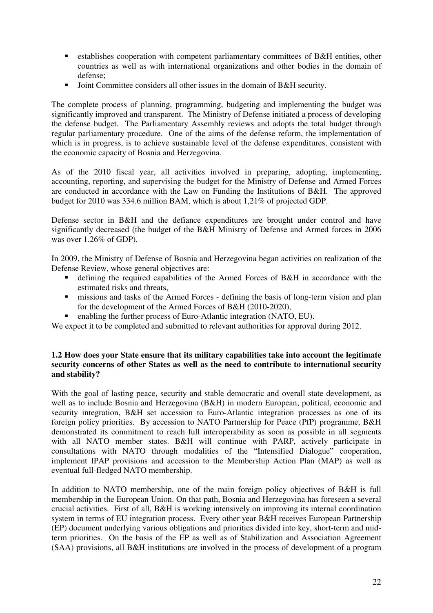- **Example 15 Fernal establishes cooperation with competent parliamentary committees of B&H entities, other** countries as well as with international organizations and other bodies in the domain of defense;
- -Joint Committee considers all other issues in the domain of B&H security.

The complete process of planning, programming, budgeting and implementing the budget was significantly improved and transparent. The Ministry of Defense initiated a process of developing the defense budget. The Parliamentary Assembly reviews and adopts the total budget through regular parliamentary procedure. One of the aims of the defense reform, the implementation of which is in progress, is to achieve sustainable level of the defense expenditures, consistent with the economic capacity of Bosnia and Herzegovina.

As of the 2010 fiscal year, all activities involved in preparing, adopting, implementing, accounting, reporting, and supervising the budget for the Ministry of Defense and Armed Forces are conducted in accordance with the Law on Funding the Institutions of B&H. The approved budget for 2010 was 334.6 million BAM, which is about 1,21% of projected GDP.

Defense sector in B&H and the defiance expenditures are brought under control and have significantly decreased (the budget of the B&H Ministry of Defense and Armed forces in 2006 was over 1.26% of GDP).

In 2009, the Ministry of Defense of Bosnia and Herzegovina began activities on realization of the Defense Review, whose general objectives are:

- defining the required capabilities of the Armed Forces of B&H in accordance with the estimated risks and threats,
- $\blacksquare$  missions and tasks of the Armed Forces defining the basis of long-term vision and plan for the development of the Armed Forces of B&H (2010-2020),
- enabling the further process of Euro-Atlantic integration (NATO, EU).
- We expect it to be completed and submitted to relevant authorities for approval during 2012.

## **1.2 How does your State ensure that its military capabilities take into account the legitimate security concerns of other States as well as the need to contribute to international security and stability?**

With the goal of lasting peace, security and stable democratic and overall state development, as well as to include Bosnia and Herzegovina (B&H) in modern European, political, economic and security integration, B&H set accession to Euro-Atlantic integration processes as one of its foreign policy priorities. By accession to NATO Partnership for Peace (PfP) programme, B&H demonstrated its commitment to reach full interoperability as soon as possible in all segments with all NATO member states. B&H will continue with PARP, actively participate in consultations with NATO through modalities of the "Intensified Dialogue" cooperation, implement IPAP provisions and accession to the Membership Action Plan (MAP) as well as eventual full-fledged NATO membership.

In addition to NATO membership, one of the main foreign policy objectives of B&H is full membership in the European Union. On that path, Bosnia and Herzegovina has foreseen a several crucial activities. First of all, B&H is working intensively on improving its internal coordination system in terms of EU integration process. Every other year B&H receives European Partnership (EP) document underlying various obligations and priorities divided into key, short-term and midterm priorities. On the basis of the EP as well as of Stabilization and Association Agreement (SAA) provisions, all B&H institutions are involved in the process of development of a program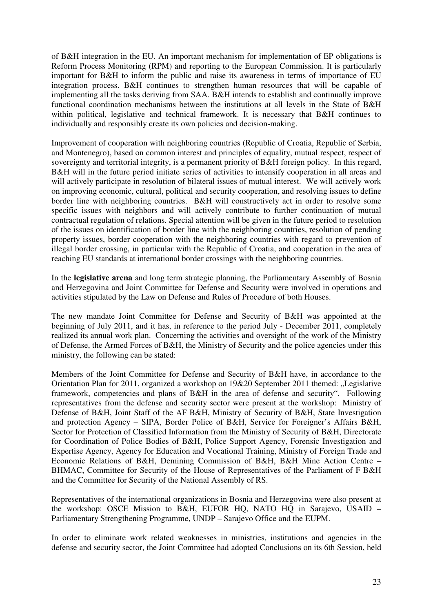of B&H integration in the EU. An important mechanism for implementation of EP obligations is Reform Process Monitoring (RPM) and reporting to the European Commission. It is particularly important for B&H to inform the public and raise its awareness in terms of importance of EU integration process. B&H continues to strengthen human resources that will be capable of implementing all the tasks deriving from SAA. B&H intends to establish and continually improve functional coordination mechanisms between the institutions at all levels in the State of B&H within political, legislative and technical framework. It is necessary that B&H continues to individually and responsibly create its own policies and decision-making.

Improvement of cooperation with neighboring countries (Republic of Croatia, Republic of Serbia, and Montenegro), based on common interest and principles of equality, mutual respect, respect of sovereignty and territorial integrity, is a permanent priority of B&H foreign policy. In this regard, B&H will in the future period initiate series of activities to intensify cooperation in all areas and will actively participate in resolution of bilateral issues of mutual interest. We will actively work on improving economic, cultural, political and security cooperation, and resolving issues to define border line with neighboring countries. B&H will constructively act in order to resolve some specific issues with neighbors and will actively contribute to further continuation of mutual contractual regulation of relations. Special attention will be given in the future period to resolution of the issues on identification of border line with the neighboring countries, resolution of pending property issues, border cooperation with the neighboring countries with regard to prevention of illegal border crossing, in particular with the Republic of Croatia, and cooperation in the area of reaching EU standards at international border crossings with the neighboring countries.

In the **legislative arena** and long term strategic planning, the Parliamentary Assembly of Bosnia and Herzegovina and Joint Committee for Defense and Security were involved in operations and activities stipulated by the Law on Defense and Rules of Procedure of both Houses.

The new mandate Joint Committee for Defense and Security of B&H was appointed at the beginning of July 2011, and it has, in reference to the period July - December 2011, completely realized its annual work plan. Concerning the activities and oversight of the work of the Ministry of Defense, the Armed Forces of B&H, the Ministry of Security and the police agencies under this ministry, the following can be stated:

Members of the Joint Committee for Defense and Security of B&H have, in accordance to the Orientation Plan for 2011, organized a workshop on 19&20 September 2011 themed: "Legislative framework, competencies and plans of B&H in the area of defense and security". Following representatives from the defense and security sector were present at the workshop: Ministry of Defense of B&H, Joint Staff of the AF B&H, Ministry of Security of B&H, State Investigation and protection Agency – SIPA, Border Police of B&H, Service for Foreigner's Affairs B&H, Sector for Protection of Classified Information from the Ministry of Security of B&H, Directorate for Coordination of Police Bodies of B&H, Police Support Agency, Forensic Investigation and Expertise Agency, Agency for Education and Vocational Training, Ministry of Foreign Trade and Economic Relations of B&H, Demining Commission of B&H, B&H Mine Action Centre – BHMAC, Committee for Security of the House of Representatives of the Parliament of F B&H and the Committee for Security of the National Assembly of RS.

Representatives of the international organizations in Bosnia and Herzegovina were also present at the workshop: OSCE Mission to B&H, EUFOR HQ, NATO HQ in Sarajevo, USAID – Parliamentary Strengthening Programme, UNDP – Sarajevo Office and the EUPM.

In order to eliminate work related weaknesses in ministries, institutions and agencies in the defense and security sector, the Joint Committee had adopted Conclusions on its 6th Session, held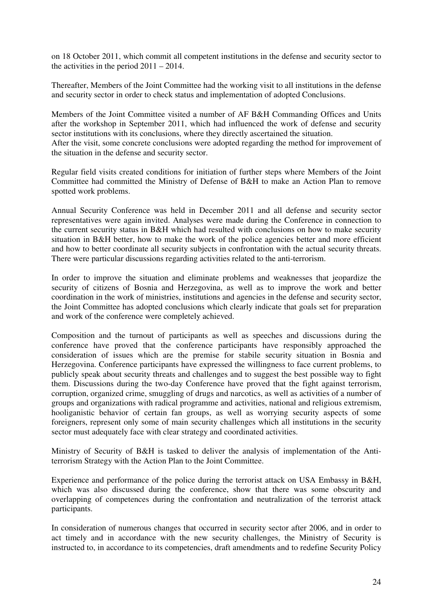on 18 October 2011, which commit all competent institutions in the defense and security sector to the activities in the period  $2011 - 2014$ .

Thereafter, Members of the Joint Committee had the working visit to all institutions in the defense and security sector in order to check status and implementation of adopted Conclusions.

Members of the Joint Committee visited a number of AF B&H Commanding Offices and Units after the workshop in September 2011, which had influenced the work of defense and security sector institutions with its conclusions, where they directly ascertained the situation. After the visit, some concrete conclusions were adopted regarding the method for improvement of the situation in the defense and security sector.

Regular field visits created conditions for initiation of further steps where Members of the Joint Committee had committed the Ministry of Defense of B&H to make an Action Plan to remove spotted work problems.

Annual Security Conference was held in December 2011 and all defense and security sector representatives were again invited. Analyses were made during the Conference in connection to the current security status in B&H which had resulted with conclusions on how to make security situation in B&H better, how to make the work of the police agencies better and more efficient and how to better coordinate all security subjects in confrontation with the actual security threats. There were particular discussions regarding activities related to the anti-terrorism.

In order to improve the situation and eliminate problems and weaknesses that jeopardize the security of citizens of Bosnia and Herzegovina, as well as to improve the work and better coordination in the work of ministries, institutions and agencies in the defense and security sector, the Joint Committee has adopted conclusions which clearly indicate that goals set for preparation and work of the conference were completely achieved.

Composition and the turnout of participants as well as speeches and discussions during the conference have proved that the conference participants have responsibly approached the consideration of issues which are the premise for stabile security situation in Bosnia and Herzegovina. Conference participants have expressed the willingness to face current problems, to publicly speak about security threats and challenges and to suggest the best possible way to fight them. Discussions during the two-day Conference have proved that the fight against terrorism, corruption, organized crime, smuggling of drugs and narcotics, as well as activities of a number of groups and organizations with radical programme and activities, national and religious extremism, hooliganistic behavior of certain fan groups, as well as worrying security aspects of some foreigners, represent only some of main security challenges which all institutions in the security sector must adequately face with clear strategy and coordinated activities.

Ministry of Security of B&H is tasked to deliver the analysis of implementation of the Antiterrorism Strategy with the Action Plan to the Joint Committee.

Experience and performance of the police during the terrorist attack on USA Embassy in B&H, which was also discussed during the conference, show that there was some obscurity and overlapping of competences during the confrontation and neutralization of the terrorist attack participants.

In consideration of numerous changes that occurred in security sector after 2006, and in order to act timely and in accordance with the new security challenges, the Ministry of Security is instructed to, in accordance to its competencies, draft amendments and to redefine Security Policy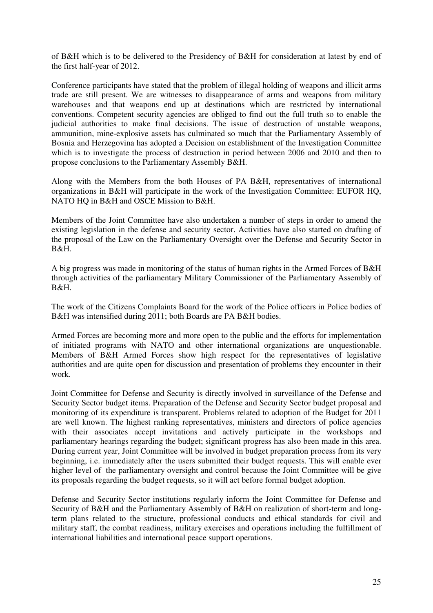of B&H which is to be delivered to the Presidency of B&H for consideration at latest by end of the first half-year of 2012.

Conference participants have stated that the problem of illegal holding of weapons and illicit arms trade are still present. We are witnesses to disappearance of arms and weapons from military warehouses and that weapons end up at destinations which are restricted by international conventions. Competent security agencies are obliged to find out the full truth so to enable the judicial authorities to make final decisions. The issue of destruction of unstable weapons, ammunition, mine-explosive assets has culminated so much that the Parliamentary Assembly of Bosnia and Herzegovina has adopted a Decision on establishment of the Investigation Committee which is to investigate the process of destruction in period between 2006 and 2010 and then to propose conclusions to the Parliamentary Assembly B&H.

Along with the Members from the both Houses of PA B&H, representatives of international organizations in B&H will participate in the work of the Investigation Committee: EUFOR HQ, NATO HQ in B&H and OSCE Mission to B&H.

Members of the Joint Committee have also undertaken a number of steps in order to amend the existing legislation in the defense and security sector. Activities have also started on drafting of the proposal of the Law on the Parliamentary Oversight over the Defense and Security Sector in B&H.

A big progress was made in monitoring of the status of human rights in the Armed Forces of B&H through activities of the parliamentary Military Commissioner of the Parliamentary Assembly of B&H.

The work of the Citizens Complaints Board for the work of the Police officers in Police bodies of B&H was intensified during 2011; both Boards are PA B&H bodies.

Armed Forces are becoming more and more open to the public and the efforts for implementation of initiated programs with NATO and other international organizations are unquestionable. Members of B&H Armed Forces show high respect for the representatives of legislative authorities and are quite open for discussion and presentation of problems they encounter in their work.

Joint Committee for Defense and Security is directly involved in surveillance of the Defense and Security Sector budget items. Preparation of the Defense and Security Sector budget proposal and monitoring of its expenditure is transparent. Problems related to adoption of the Budget for 2011 are well known. The highest ranking representatives, ministers and directors of police agencies with their associates accept invitations and actively participate in the workshops and parliamentary hearings regarding the budget; significant progress has also been made in this area. During current year, Joint Committee will be involved in budget preparation process from its very beginning, i.e. immediately after the users submitted their budget requests. This will enable ever higher level of the parliamentary oversight and control because the Joint Committee will be give its proposals regarding the budget requests, so it will act before formal budget adoption.

Defense and Security Sector institutions regularly inform the Joint Committee for Defense and Security of B&H and the Parliamentary Assembly of B&H on realization of short-term and longterm plans related to the structure, professional conducts and ethical standards for civil and military staff, the combat readiness, military exercises and operations including the fulfillment of international liabilities and international peace support operations.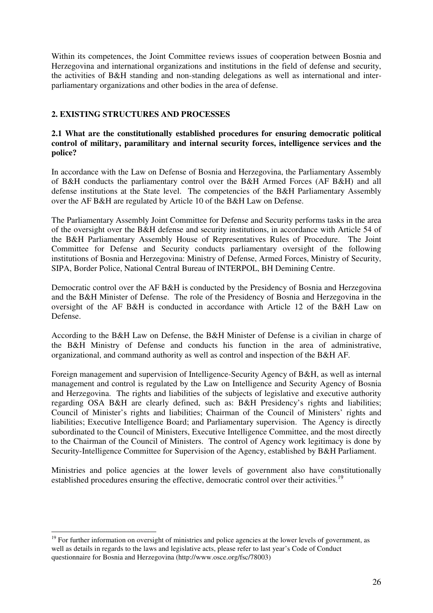Within its competences, the Joint Committee reviews issues of cooperation between Bosnia and Herzegovina and international organizations and institutions in the field of defense and security, the activities of B&H standing and non-standing delegations as well as international and interparliamentary organizations and other bodies in the area of defense.

## **2. EXISTING STRUCTURES AND PROCESSES**

## **2.1 What are the constitutionally established procedures for ensuring democratic political control of military, paramilitary and internal security forces, intelligence services and the police?**

In accordance with the Law on Defense of Bosnia and Herzegovina, the Parliamentary Assembly of B&H conducts the parliamentary control over the B&H Armed Forces (AF B&H) and all defense institutions at the State level. The competencies of the B&H Parliamentary Assembly over the AF B&H are regulated by Article 10 of the B&H Law on Defense.

The Parliamentary Assembly Joint Committee for Defense and Security performs tasks in the area of the oversight over the B&H defense and security institutions, in accordance with Article 54 of the B&H Parliamentary Assembly House of Representatives Rules of Procedure. The Joint Committee for Defense and Security conducts parliamentary oversight of the following institutions of Bosnia and Herzegovina: Ministry of Defense, Armed Forces, Ministry of Security, SIPA, Border Police, National Central Bureau of INTERPOL, BH Demining Centre.

Democratic control over the AF B&H is conducted by the Presidency of Bosnia and Herzegovina and the B&H Minister of Defense. The role of the Presidency of Bosnia and Herzegovina in the oversight of the AF B&H is conducted in accordance with Article 12 of the B&H Law on Defense.

According to the B&H Law on Defense, the B&H Minister of Defense is a civilian in charge of the B&H Ministry of Defense and conducts his function in the area of administrative, organizational, and command authority as well as control and inspection of the B&H AF.

Foreign management and supervision of Intelligence-Security Agency of B&H, as well as internal management and control is regulated by the Law on Intelligence and Security Agency of Bosnia and Herzegovina. The rights and liabilities of the subjects of legislative and executive authority regarding OSA B&H are clearly defined, such as: B&H Presidency's rights and liabilities; Council of Minister's rights and liabilities; Chairman of the Council of Ministers' rights and liabilities; Executive Intelligence Board; and Parliamentary supervision. The Agency is directly subordinated to the Council of Ministers, Executive Intelligence Committee, and the most directly to the Chairman of the Council of Ministers. The control of Agency work legitimacy is done by Security-Intelligence Committee for Supervision of the Agency, established by B&H Parliament.

Ministries and police agencies at the lower levels of government also have constitutionally established procedures ensuring the effective, democratic control over their activities.<sup>19</sup>

-

<sup>&</sup>lt;sup>19</sup> For further information on oversight of ministries and police agencies at the lower levels of government, as well as details in regards to the laws and legislative acts, please refer to last year's Code of Conduct questionnaire for Bosnia and Herzegovina (http://www.osce.org/fsc/78003)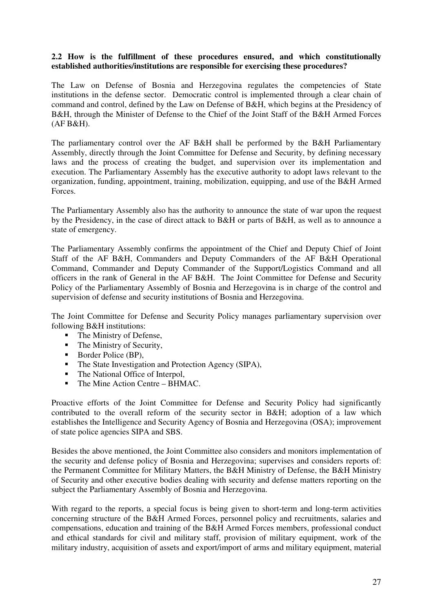### **2.2 How is the fulfillment of these procedures ensured, and which constitutionally established authorities/institutions are responsible for exercising these procedures?**

The Law on Defense of Bosnia and Herzegovina regulates the competencies of State institutions in the defense sector. Democratic control is implemented through a clear chain of command and control, defined by the Law on Defense of B&H, which begins at the Presidency of B&H, through the Minister of Defense to the Chief of the Joint Staff of the B&H Armed Forces (AF B&H).

The parliamentary control over the AF B&H shall be performed by the B&H Parliamentary Assembly, directly through the Joint Committee for Defense and Security, by defining necessary laws and the process of creating the budget, and supervision over its implementation and execution. The Parliamentary Assembly has the executive authority to adopt laws relevant to the organization, funding, appointment, training, mobilization, equipping, and use of the B&H Armed Forces.

The Parliamentary Assembly also has the authority to announce the state of war upon the request by the Presidency, in the case of direct attack to B&H or parts of B&H, as well as to announce a state of emergency.

The Parliamentary Assembly confirms the appointment of the Chief and Deputy Chief of Joint Staff of the AF B&H, Commanders and Deputy Commanders of the AF B&H Operational Command, Commander and Deputy Commander of the Support/Logistics Command and all officers in the rank of General in the AF B&H. The Joint Committee for Defense and Security Policy of the Parliamentary Assembly of Bosnia and Herzegovina is in charge of the control and supervision of defense and security institutions of Bosnia and Herzegovina.

The Joint Committee for Defense and Security Policy manages parliamentary supervision over following B&H institutions:

- The Ministry of Defense,
- The Ministry of Security,
- **Border Police (BP),**
- The State Investigation and Protection Agency (SIPA),
- The National Office of Interpol,
- The Mine Action Centre BHMAC.

Proactive efforts of the Joint Committee for Defense and Security Policy had significantly contributed to the overall reform of the security sector in B&H; adoption of a law which establishes the Intelligence and Security Agency of Bosnia and Herzegovina (OSA); improvement of state police agencies SIPA and SBS.

Besides the above mentioned, the Joint Committee also considers and monitors implementation of the security and defense policy of Bosnia and Herzegovina; supervises and considers reports of: the Permanent Committee for Military Matters, the B&H Ministry of Defense, the B&H Ministry of Security and other executive bodies dealing with security and defense matters reporting on the subject the Parliamentary Assembly of Bosnia and Herzegovina.

With regard to the reports, a special focus is being given to short-term and long-term activities concerning structure of the B&H Armed Forces, personnel policy and recruitments, salaries and compensations, education and training of the B&H Armed Forces members, professional conduct and ethical standards for civil and military staff, provision of military equipment, work of the military industry, acquisition of assets and export/import of arms and military equipment, material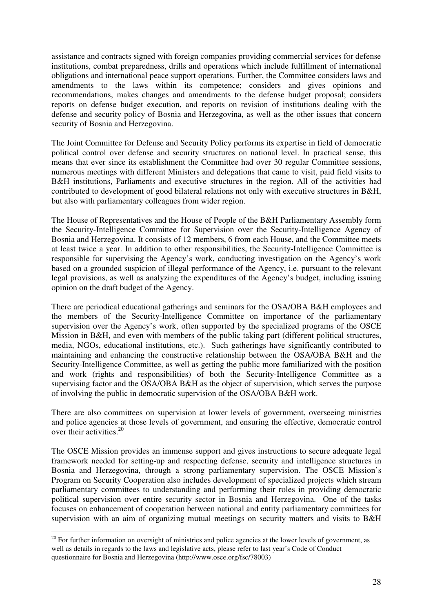assistance and contracts signed with foreign companies providing commercial services for defense institutions, combat preparedness, drills and operations which include fulfillment of international obligations and international peace support operations. Further, the Committee considers laws and amendments to the laws within its competence; considers and gives opinions and recommendations, makes changes and amendments to the defense budget proposal; considers reports on defense budget execution, and reports on revision of institutions dealing with the defense and security policy of Bosnia and Herzegovina, as well as the other issues that concern security of Bosnia and Herzegovina.

The Joint Committee for Defense and Security Policy performs its expertise in field of democratic political control over defense and security structures on national level. In practical sense, this means that ever since its establishment the Committee had over 30 regular Committee sessions, numerous meetings with different Ministers and delegations that came to visit, paid field visits to B&H institutions, Parliaments and executive structures in the region. All of the activities had contributed to development of good bilateral relations not only with executive structures in B&H, but also with parliamentary colleagues from wider region.

The House of Representatives and the House of People of the B&H Parliamentary Assembly form the Security-Intelligence Committee for Supervision over the Security-Intelligence Agency of Bosnia and Herzegovina. It consists of 12 members, 6 from each House, and the Committee meets at least twice a year. In addition to other responsibilities, the Security-Intelligence Committee is responsible for supervising the Agency's work, conducting investigation on the Agency's work based on a grounded suspicion of illegal performance of the Agency, i.e. pursuant to the relevant legal provisions, as well as analyzing the expenditures of the Agency's budget, including issuing opinion on the draft budget of the Agency.

There are periodical educational gatherings and seminars for the OSA/OBA B&H employees and the members of the Security-Intelligence Committee on importance of the parliamentary supervision over the Agency's work, often supported by the specialized programs of the OSCE Mission in B&H, and even with members of the public taking part (different political structures, media, NGOs, educational institutions, etc.). Such gatherings have significantly contributed to maintaining and enhancing the constructive relationship between the OSA/OBA B&H and the Security-Intelligence Committee, as well as getting the public more familiarized with the position and work (rights and responsibilities) of both the Security-Intelligence Committee as a supervising factor and the OSA/OBA B&H as the object of supervision, which serves the purpose of involving the public in democratic supervision of the OSA/OBA B&H work.

There are also committees on supervision at lower levels of government, overseeing ministries and police agencies at those levels of government, and ensuring the effective, democratic control over their activities.20

The OSCE Mission provides an immense support and gives instructions to secure adequate legal framework needed for setting-up and respecting defense, security and intelligence structures in Bosnia and Herzegovina, through a strong parliamentary supervision. The OSCE Mission's Program on Security Cooperation also includes development of specialized projects which stream parliamentary committees to understanding and performing their roles in providing democratic political supervision over entire security sector in Bosnia and Herzegovina. One of the tasks focuses on enhancement of cooperation between national and entity parliamentary committees for supervision with an aim of organizing mutual meetings on security matters and visits to B&H

-

 $20$  For further information on oversight of ministries and police agencies at the lower levels of government, as well as details in regards to the laws and legislative acts, please refer to last year's Code of Conduct questionnaire for Bosnia and Herzegovina (http://www.osce.org/fsc/78003)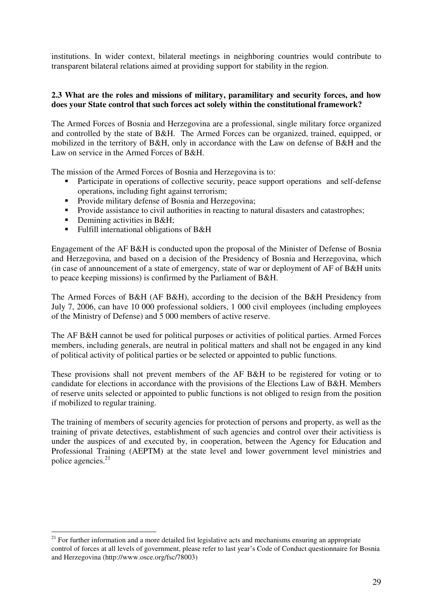institutions. In wider context, bilateral meetings in neighboring countries would contribute to transparent bilateral relations aimed at providing support for stability in the region.

## **2.3 What are the roles and missions of military, paramilitary and security forces, and how does your State control that such forces act solely within the constitutional framework?**

The Armed Forces of Bosnia and Herzegovina are a professional, single military force organized and controlled by the state of B&H. The Armed Forces can be organized, trained, equipped, or mobilized in the territory of B&H, only in accordance with the Law on defense of B&H and the Law on service in the Armed Forces of B&H.

The mission of the Armed Forces of Bosnia and Herzegovina is to:

- - Participate in operations of collective security, peace support operations and self-defense operations, including fight against terrorism;
- Provide military defense of Bosnia and Herzegovina;
- Provide assistance to civil authorities in reacting to natural disasters and catastrophes;
- **•** Demining activities in B&H;

-

- Fulfill international obligations of B&H

Engagement of the AF B&H is conducted upon the proposal of the Minister of Defense of Bosnia and Herzegovina, and based on a decision of the Presidency of Bosnia and Herzegovina, which (in case of announcement of a state of emergency, state of war or deployment of AF of B&H units to peace keeping missions) is confirmed by the Parliament of B&H.

The Armed Forces of B&H (AF B&H), according to the decision of the B&H Presidency from July 7, 2006, can have 10 000 professional soldiers, 1 000 civil employees (including employees of the Ministry of Defense) and 5 000 members of active reserve.

The AF B&H cannot be used for political purposes or activities of political parties. Armed Forces members, including generals, are neutral in political matters and shall not be engaged in any kind of political activity of political parties or be selected or appointed to public functions.

These provisions shall not prevent members of the AF B&H to be registered for voting or to candidate for elections in accordance with the provisions of the Elections Law of B&H. Members of reserve units selected or appointed to public functions is not obliged to resign from the position if mobilized to regular training.

The training of members of security agencies for protection of persons and property, as well as the training of private detectives, establishment of such agencies and control over their activitiess is under the auspices of and executed by, in cooperation, between the Agency for Education and Professional Training (AEPTM) at the state level and lower government level ministries and police agencies.21

<sup>&</sup>lt;sup>21</sup> For further information and a more detailed list legislative acts and mechanisms ensuring an appropriate control of forces at all levels of government, please refer to last year's Code of Conduct questionnaire for Bosnia and Herzegovina (http://www.osce.org/fsc/78003)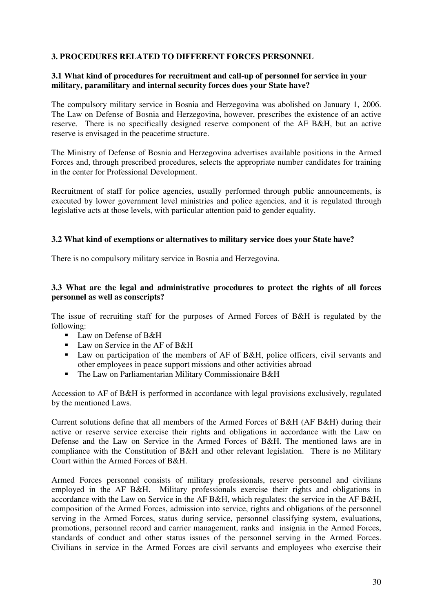## **3. PROCEDURES RELATED TO DIFFERENT FORCES PERSONNEL**

## **3.1 What kind of procedures for recruitment and call-up of personnel for service in your military, paramilitary and internal security forces does your State have?**

The compulsory military service in Bosnia and Herzegovina was abolished on January 1, 2006. The Law on Defense of Bosnia and Herzegovina, however, prescribes the existence of an active reserve. There is no specifically designed reserve component of the AF B&H, but an active reserve is envisaged in the peacetime structure.

The Ministry of Defense of Bosnia and Herzegovina advertises available positions in the Armed Forces and, through prescribed procedures, selects the appropriate number candidates for training in the center for Professional Development.

Recruitment of staff for police agencies, usually performed through public announcements, is executed by lower government level ministries and police agencies, and it is regulated through legislative acts at those levels, with particular attention paid to gender equality.

#### **3.2 What kind of exemptions or alternatives to military service does your State have?**

There is no compulsory military service in Bosnia and Herzegovina.

## **3.3 What are the legal and administrative procedures to protect the rights of all forces personnel as well as conscripts?**

The issue of recruiting staff for the purposes of Armed Forces of B&H is regulated by the following:

- **Law on Defense of B&H**
- Law on Service in the AF of B&H
- Law on participation of the members of AF of B&H, police officers, civil servants and other employees in peace support missions and other activities abroad
- The Law on Parliamentarian Military Commissionaire B&H

Accession to AF of B&H is performed in accordance with legal provisions exclusively, regulated by the mentioned Laws.

Current solutions define that all members of the Armed Forces of B&H (AF B&H) during their active or reserve service exercise their rights and obligations in accordance with the Law on Defense and the Law on Service in the Armed Forces of B&H. The mentioned laws are in compliance with the Constitution of B&H and other relevant legislation. There is no Military Court within the Armed Forces of B&H.

Armed Forces personnel consists of military professionals, reserve personnel and civilians employed in the AF B&H. Military professionals exercise their rights and obligations in accordance with the Law on Service in the AF B&H, which regulates: the service in the AF B&H, composition of the Armed Forces, admission into service, rights and obligations of the personnel serving in the Armed Forces, status during service, personnel classifying system, evaluations, promotions, personnel record and carrier management, ranks and insignia in the Armed Forces, standards of conduct and other status issues of the personnel serving in the Armed Forces. Civilians in service in the Armed Forces are civil servants and employees who exercise their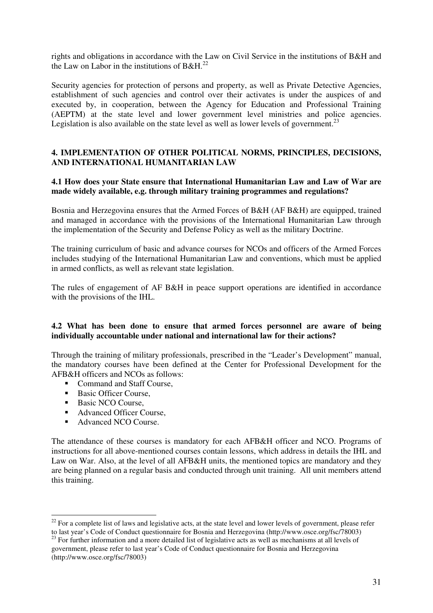rights and obligations in accordance with the Law on Civil Service in the institutions of B&H and the Law on Labor in the institutions of B&H.<sup>22</sup>

Security agencies for protection of persons and property, as well as Private Detective Agencies, establishment of such agencies and control over their activates is under the auspices of and executed by, in cooperation, between the Agency for Education and Professional Training (AEPTM) at the state level and lower government level ministries and police agencies. Legislation is also available on the state level as well as lower levels of government.<sup>23</sup>

## **4. IMPLEMENTATION OF OTHER POLITICAL NORMS, PRINCIPLES, DECISIONS, AND INTERNATIONAL HUMANITARIAN LAW**

**4.1 How does your State ensure that International Humanitarian Law and Law of War are made widely available, e.g. through military training programmes and regulations?**

Bosnia and Herzegovina ensures that the Armed Forces of B&H (AF B&H) are equipped, trained and managed in accordance with the provisions of the International Humanitarian Law through the implementation of the Security and Defense Policy as well as the military Doctrine.

The training curriculum of basic and advance courses for NCOs and officers of the Armed Forces includes studying of the International Humanitarian Law and conventions, which must be applied in armed conflicts, as well as relevant state legislation.

The rules of engagement of AF B&H in peace support operations are identified in accordance with the provisions of the IHL.

## **4.2 What has been done to ensure that armed forces personnel are aware of being individually accountable under national and international law for their actions?**

Through the training of military professionals, prescribed in the "Leader's Development" manual, the mandatory courses have been defined at the Center for Professional Development for the AFB&H officers and NCOs as follows:

- **Command and Staff Course,**
- **Basic Officer Course,**
- **Basic NCO Course,**
- **-** Advanced Officer Course,
- **Advanced NCO Course.**

The attendance of these courses is mandatory for each AFB&H officer and NCO. Programs of instructions for all above-mentioned courses contain lessons, which address in details the IHL and Law on War. Also, at the level of all AFB&H units, the mentioned topics are mandatory and they are being planned on a regular basis and conducted through unit training. All unit members attend this training.

<sup>-</sup> $22$  For a complete list of laws and legislative acts, at the state level and lower levels of government, please refer to last year's Code of Conduct questionnaire for Bosnia and Herzegovina (http://www.osce.org/fsc/78003)

<sup>&</sup>lt;sup>23</sup> For further information and a more detailed list of legislative acts as well as mechanisms at all levels of government, please refer to last year's Code of Conduct questionnaire for Bosnia and Herzegovina (http://www.osce.org/fsc/78003)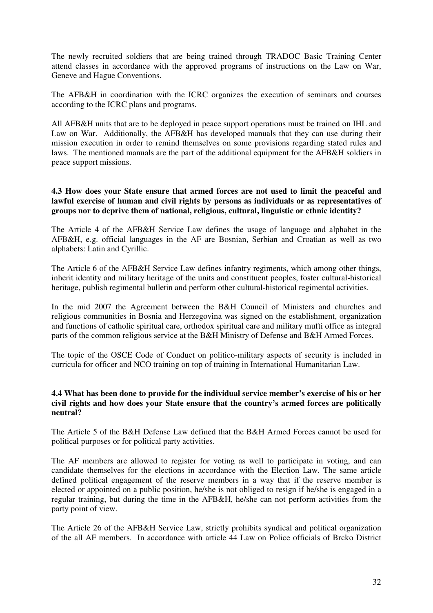The newly recruited soldiers that are being trained through TRADOC Basic Training Center attend classes in accordance with the approved programs of instructions on the Law on War, Geneve and Hague Conventions.

The AFB&H in coordination with the ICRC organizes the execution of seminars and courses according to the ICRC plans and programs.

All AFB&H units that are to be deployed in peace support operations must be trained on IHL and Law on War. Additionally, the AFB&H has developed manuals that they can use during their mission execution in order to remind themselves on some provisions regarding stated rules and laws. The mentioned manuals are the part of the additional equipment for the AFB&H soldiers in peace support missions.

### **4.3 How does your State ensure that armed forces are not used to limit the peaceful and lawful exercise of human and civil rights by persons as individuals or as representatives of groups nor to deprive them of national, religious, cultural, linguistic or ethnic identity?**

The Article 4 of the AFB&H Service Law defines the usage of language and alphabet in the AFB&H, e.g. official languages in the AF are Bosnian, Serbian and Croatian as well as two alphabets: Latin and Cyrillic.

The Article 6 of the AFB&H Service Law defines infantry regiments, which among other things, inherit identity and military heritage of the units and constituent peoples, foster cultural-historical heritage, publish regimental bulletin and perform other cultural-historical regimental activities.

In the mid 2007 the Agreement between the B&H Council of Ministers and churches and religious communities in Bosnia and Herzegovina was signed on the establishment, organization and functions of catholic spiritual care, orthodox spiritual care and military mufti office as integral parts of the common religious service at the B&H Ministry of Defense and B&H Armed Forces.

The topic of the OSCE Code of Conduct on politico-military aspects of security is included in curricula for officer and NCO training on top of training in International Humanitarian Law.

## **4.4 What has been done to provide for the individual service member's exercise of his or her civil rights and how does your State ensure that the country's armed forces are politically neutral?**

The Article 5 of the B&H Defense Law defined that the B&H Armed Forces cannot be used for political purposes or for political party activities.

The AF members are allowed to register for voting as well to participate in voting, and can candidate themselves for the elections in accordance with the Election Law. The same article defined political engagement of the reserve members in a way that if the reserve member is elected or appointed on a public position, he/she is not obliged to resign if he/she is engaged in a regular training, but during the time in the AFB&H, he/she can not perform activities from the party point of view.

The Article 26 of the AFB&H Service Law, strictly prohibits syndical and political organization of the all AF members. In accordance with article 44 Law on Police officials of Brcko District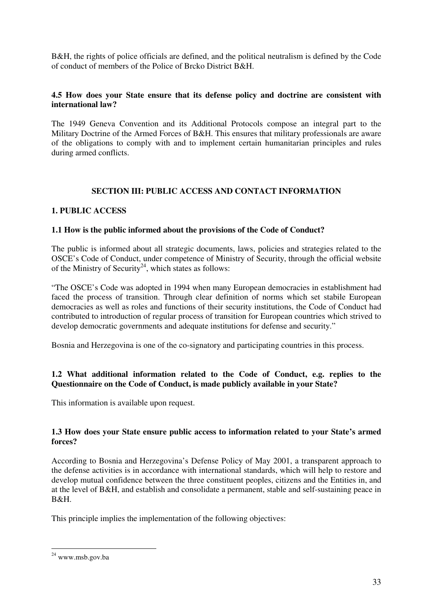B&H, the rights of police officials are defined, and the political neutralism is defined by the Code of conduct of members of the Police of Brcko District B&H.

## **4.5 How does your State ensure that its defense policy and doctrine are consistent with international law?**

The 1949 Geneva Convention and its Additional Protocols compose an integral part to the Military Doctrine of the Armed Forces of B&H. This ensures that military professionals are aware of the obligations to comply with and to implement certain humanitarian principles and rules during armed conflicts.

## **SECTION III: PUBLIC ACCESS AND CONTACT INFORMATION**

## **1. PUBLIC ACCESS**

## **1.1 How is the public informed about the provisions of the Code of Conduct?**

The public is informed about all strategic documents, laws, policies and strategies related to the OSCE's Code of Conduct, under competence of Ministry of Security, through the official website of the Ministry of Security<sup>24</sup>, which states as follows:

"The OSCE's Code was adopted in 1994 when many European democracies in establishment had faced the process of transition. Through clear definition of norms which set stabile European democracies as well as roles and functions of their security institutions, the Code of Conduct had contributed to introduction of regular process of transition for European countries which strived to develop democratic governments and adequate institutions for defense and security."

Bosnia and Herzegovina is one of the co-signatory and participating countries in this process.

## **1.2 What additional information related to the Code of Conduct, e.g. replies to the Questionnaire on the Code of Conduct, is made publicly available in your State?**

This information is available upon request.

## **1.3 How does your State ensure public access to information related to your State's armed forces?**

According to Bosnia and Herzegovina's Defense Policy of May 2001, a transparent approach to the defense activities is in accordance with international standards, which will help to restore and develop mutual confidence between the three constituent peoples, citizens and the Entities in, and at the level of B&H, and establish and consolidate a permanent, stable and self-sustaining peace in B&H.

This principle implies the implementation of the following objectives:

<sup>-</sup>24 www.msb.gov.ba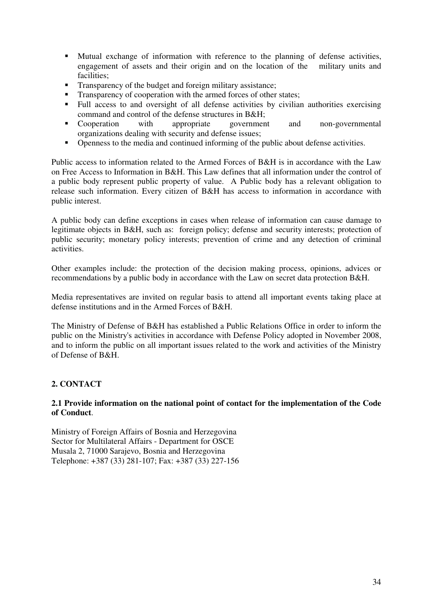- Mutual exchange of information with reference to the planning of defense activities, engagement of assets and their origin and on the location of the military units and facilities;
- Transparency of the budget and foreign military assistance;
- -Transparency of cooperation with the armed forces of other states;
- - Full access to and oversight of all defense activities by civilian authorities exercising command and control of the defense structures in B&H;
- Cooperation with appropriate government and non-governmental organizations dealing with security and defense issues;
- -Openness to the media and continued informing of the public about defense activities.

Public access to information related to the Armed Forces of B&H is in accordance with the Law on Free Access to Information in B&H. This Law defines that all information under the control of a public body represent public property of value. A Public body has a relevant obligation to release such information. Every citizen of B&H has access to information in accordance with public interest.

A public body can define exceptions in cases when release of information can cause damage to legitimate objects in B&H, such as: foreign policy; defense and security interests; protection of public security; monetary policy interests; prevention of crime and any detection of criminal activities.

Other examples include: the protection of the decision making process, opinions, advices or recommendations by a public body in accordance with the Law on secret data protection B&H.

Media representatives are invited on regular basis to attend all important events taking place at defense institutions and in the Armed Forces of B&H.

The Ministry of Defense of B&H has established a Public Relations Office in order to inform the public on the Ministry's activities in accordance with Defense Policy adopted in November 2008, and to inform the public on all important issues related to the work and activities of the Ministry of Defense of B&H.

## **2. CONTACT**

## **2.1 Provide information on the national point of contact for the implementation of the Code of Conduct**.

Ministry of Foreign Affairs of Bosnia and Herzegovina Sector for Multilateral Affairs - Department for OSCE Musala 2, 71000 Sarajevo, Bosnia and Herzegovina Telephone: +387 (33) 281-107; Fax: +387 (33) 227-156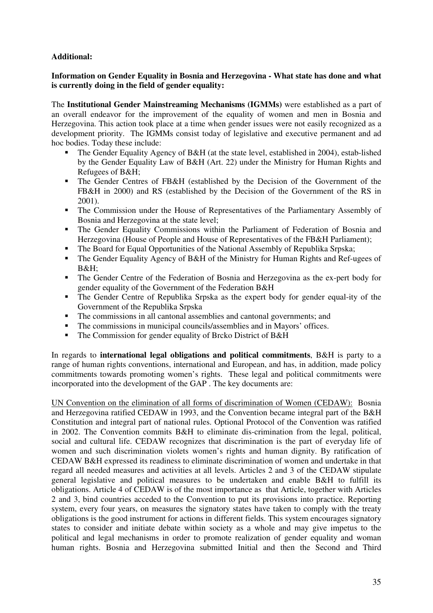## **Additional:**

## **Information on Gender Equality in Bosnia and Herzegovina - What state has done and what is currently doing in the field of gender equality:**

The **Institutional Gender Mainstreaming Mechanisms (IGMMs)** were established as a part of an overall endeavor for the improvement of the equality of women and men in Bosnia and Herzegovina. This action took place at a time when gender issues were not easily recognized as a development priority. The IGMMs consist today of legislative and executive permanent and ad hoc bodies. Today these include:

- - The Gender Equality Agency of B&H (at the state level, established in 2004), estab-lished by the Gender Equality Law of B&H (Art. 22) under the Ministry for Human Rights and Refugees of B&H;
- The Gender Centres of FB&H (established by the Decision of the Government of the FB&H in 2000) and RS (established by the Decision of the Government of the RS in 2001).
- - The Commission under the House of Representatives of the Parliamentary Assembly of Bosnia and Herzegovina at the state level;
- - The Gender Equality Commissions within the Parliament of Federation of Bosnia and Herzegovina (House of People and House of Representatives of the FB&H Parliament);
- -The Board for Equal Opportunities of the National Assembly of Republika Srpska;
- - The Gender Equality Agency of B&H of the Ministry for Human Rights and Ref-ugees of  $R\&H$
- - The Gender Centre of the Federation of Bosnia and Herzegovina as the ex-pert body for gender equality of the Government of the Federation B&H
- - The Gender Centre of Republika Srpska as the expert body for gender equal-ity of the Government of the Republika Srpska
- The commissions in all cantonal assemblies and cantonal governments; and
- The commissions in municipal councils/assemblies and in Mayors' offices.
- The Commission for gender equality of Brcko District of B&H

In regards to **international legal obligations and political commitments**, B&H is party to a range of human rights conventions, international and European, and has, in addition, made policy commitments towards promoting women's rights. These legal and political commitments were incorporated into the development of the GAP . The key documents are:

UN Convention on the elimination of all forms of discrimination of Women (CEDAW): Bosnia and Herzegovina ratified CEDAW in 1993, and the Convention became integral part of the B&H Constitution and integral part of national rules. Optional Protocol of the Convention was ratified in 2002. The Convention commits B&H to eliminate dis-crimination from the legal, political, social and cultural life. CEDAW recognizes that discrimination is the part of everyday life of women and such discrimination violets women's rights and human dignity. By ratification of CEDAW B&H expressed its readiness to eliminate discrimination of women and undertake in that regard all needed measures and activities at all levels. Articles 2 and 3 of the CEDAW stipulate general legislative and political measures to be undertaken and enable B&H to fulfill its obligations. Article 4 of CEDAW is of the most importance as that Article, together with Articles 2 and 3, bind countries acceded to the Convention to put its provisions into practice. Reporting system, every four years, on measures the signatory states have taken to comply with the treaty obligations is the good instrument for actions in different fields. This system encourages signatory states to consider and initiate debate within society as a whole and may give impetus to the political and legal mechanisms in order to promote realization of gender equality and woman human rights. Bosnia and Herzegovina submitted Initial and then the Second and Third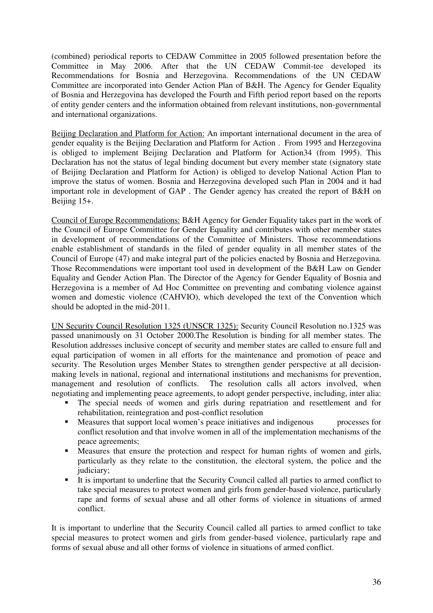(combined) periodical reports to CEDAW Committee in 2005 followed presentation before the Committee in May 2006. After that the UN CEDAW Commit-tee developed its Recommendations for Bosnia and Herzegovina. Recommendations of the UN CEDAW Committee are incorporated into Gender Action Plan of B&H. The Agency for Gender Equality of Bosnia and Herzegovina has developed the Fourth and Fifth period report based on the reports of entity gender centers and the information obtained from relevant institutions, non-governmental and international organizations.

Beijing Declaration and Platform for Action: An important international document in the area of gender equality is the Beijing Declaration and Platform for Action . From 1995 and Herzegovina is obliged to implement Beijing Declaration and Platform for Action34 (from 1995). This Declaration has not the status of legal binding document but every member state (signatory state of Beijing Declaration and Platform for Action) is obliged to develop National Action Plan to improve the status of women. Bosnia and Herzegovina developed such Plan in 2004 and it had important role in development of GAP . The Gender agency has created the report of B&H on Beijing 15+.

Council of Europe Recommendations: B&H Agency for Gender Equality takes part in the work of the Council of Europe Committee for Gender Equality and contributes with other member states in development of recommendations of the Committee of Ministers. Those recommendations enable establishment of standards in the filed of gender equality in all member states of the Council of Europe (47) and make integral part of the policies enacted by Bosnia and Herzegovina. Those Recommendations were important tool used in development of the B&H Law on Gender Equality and Gender Action Plan. The Director of the Agency for Gender Equality of Bosnia and Herzegovina is a member of Ad Hoc Committee on preventing and combating violence against women and domestic violence (CAHVIO), which developed the text of the Convention which should be adopted in the mid-2011.

UN Security Council Resolution 1325 (UNSCR 1325): Security Council Resolution no.1325 was passed unanimously on 31 October 2000.The Resolution is binding for all member states. The Resolution addresses inclusive concept of security and member states are called to ensure full and equal participation of women in all efforts for the maintenance and promotion of peace and security. The Resolution urges Member States to strengthen gender perspective at all decisionmaking levels in national, regional and international institutions and mechanisms for prevention, management and resolution of conflicts. The resolution calls all actors involved, when negotiating and implementing peace agreements, to adopt gender perspective, including, inter alia:

- The special needs of women and girls during repatriation and resettlement and for rehabilitation, reintegration and post-conflict resolution
- Measures that support local women's peace initiatives and indigenous processes for conflict resolution and that involve women in all of the implementation mechanisms of the peace agreements;
- **•** Measures that ensure the protection and respect for human rights of women and girls, particularly as they relate to the constitution, the electoral system, the police and the judiciary;
- It is important to underline that the Security Council called all parties to armed conflict to take special measures to protect women and girls from gender-based violence, particularly rape and forms of sexual abuse and all other forms of violence in situations of armed conflict.

It is important to underline that the Security Council called all parties to armed conflict to take special measures to protect women and girls from gender-based violence, particularly rape and forms of sexual abuse and all other forms of violence in situations of armed conflict.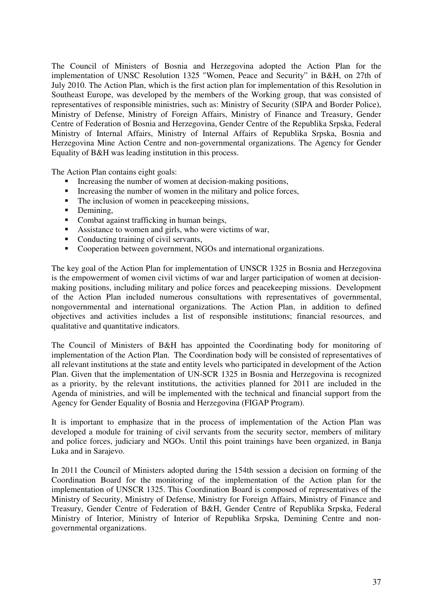The Council of Ministers of Bosnia and Herzegovina adopted the Action Plan for the implementation of UNSC Resolution 1325 "Women, Peace and Security" in B&H, on 27th of July 2010. The Action Plan, which is the first action plan for implementation of this Resolution in Southeast Europe, was developed by the members of the Working group, that was consisted of representatives of responsible ministries, such as: Ministry of Security (SIPA and Border Police), Ministry of Defense, Ministry of Foreign Affairs, Ministry of Finance and Treasury, Gender Centre of Federation of Bosnia and Herzegovina, Gender Centre of the Republika Srpska, Federal Ministry of Internal Affairs, Ministry of Internal Affairs of Republika Srpska, Bosnia and Herzegovina Mine Action Centre and non-governmental organizations. The Agency for Gender Equality of B&H was leading institution in this process.

The Action Plan contains eight goals:

- Increasing the number of women at decision-making positions,
- **Increasing the number of women in the military and police forces,**
- The inclusion of women in peacekeeping missions,
- Demining,
- Combat against trafficking in human beings,
- **Assistance to women and girls, who were victims of war,**
- **Conducting training of civil servants,**
- -Cooperation between government, NGOs and international organizations.

The key goal of the Action Plan for implementation of UNSCR 1325 in Bosnia and Herzegovina is the empowerment of women civil victims of war and larger participation of women at decisionmaking positions, including military and police forces and peacekeeping missions. Development of the Action Plan included numerous consultations with representatives of governmental, nongovernmental and international organizations. The Action Plan, in addition to defined objectives and activities includes a list of responsible institutions; financial resources, and qualitative and quantitative indicators.

The Council of Ministers of B&H has appointed the Coordinating body for monitoring of implementation of the Action Plan. The Coordination body will be consisted of representatives of all relevant institutions at the state and entity levels who participated in development of the Action Plan. Given that the implementation of UN-SCR 1325 in Bosnia and Herzegovina is recognized as a priority, by the relevant institutions, the activities planned for 2011 are included in the Agenda of ministries, and will be implemented with the technical and financial support from the Agency for Gender Equality of Bosnia and Herzegovina (FIGAP Program).

It is important to emphasize that in the process of implementation of the Action Plan was developed a module for training of civil servants from the security sector, members of military and police forces, judiciary and NGOs. Until this point trainings have been organized, in Banja Luka and in Sarajevo.

In 2011 the Council of Ministers adopted during the 154th session a decision on forming of the Coordination Board for the monitoring of the implementation of the Action plan for the implementation of UNSCR 1325. This Coordination Board is composed of representatives of the Ministry of Security, Ministry of Defense, Ministry for Foreign Affairs, Ministry of Finance and Treasury, Gender Centre of Federation of B&H, Gender Centre of Republika Srpska, Federal Ministry of Interior, Ministry of Interior of Republika Srpska, Demining Centre and nongovernmental organizations.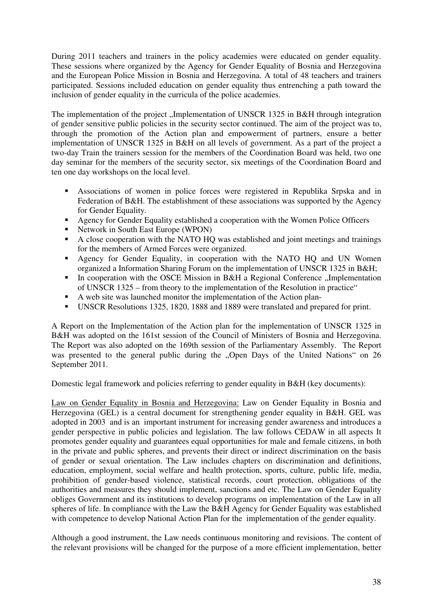During 2011 teachers and trainers in the policy academies were educated on gender equality. These sessions where organized by the Agency for Gender Equality of Bosnia and Herzegovina and the European Police Mission in Bosnia and Herzegovina. A total of 48 teachers and trainers participated. Sessions included education on gender equality thus entrenching a path toward the inclusion of gender equality in the curricula of the police academies.

The implementation of the project , Implementation of UNSCR 1325 in B&H through integration of gender sensitive public policies in the security sector continued. The aim of the project was to, through the promotion of the Action plan and empowerment of partners, ensure a better implementation of UNSCR 1325 in B&H on all levels of government. As a part of the project a two-day Train the trainers session for the members of the Coordination Board was held, two one day seminar for the members of the security sector, six meetings of the Coordination Board and ten one day workshops on the local level.

- **-** Associations of women in police forces were registered in Republika Srpska and in Federation of B&H. The establishment of these associations was supported by the Agency for Gender Equality.
- **-** Agency for Gender Equality established a cooperation with the Women Police Officers
- Network in South East Europe (WPON)
- A close cooperation with the NATO HQ was established and joint meetings and trainings for the members of Armed Forces were organized.
- - Agency for Gender Equality, in cooperation with the NATO HQ and UN Women organized a Information Sharing Forum on the implementation of UNSCR 1325 in B&H;
- -In cooperation with the OSCE Mission in B&H a Regional Conference  $\Box$ Implementation of UNSCR 1325 – from theory to the implementation of the Resolution in practice"
- A web site was launched monitor the implementation of the Action plan-
- UNSCR Resolutions 1325, 1820, 1888 and 1889 were translated and prepared for print.

A Report on the Implementation of the Action plan for the implementation of UNSCR 1325 in B&H was adopted on the 161st session of the Council of Ministers of Bosnia and Herzegovina. The Report was also adopted on the 169th session of the Parliamentary Assembly. The Report was presented to the general public during the "Open Days of the United Nations" on 26 September 2011.

Domestic legal framework and policies referring to gender equality in B&H (key documents):

Law on Gender Equality in Bosnia and Herzegovina: Law on Gender Equality in Bosnia and Herzegovina (GEL) is a central document for strengthening gender equality in B&H. GEL was adopted in 2003 and is an important instrument for increasing gender awareness and introduces a gender perspective in public policies and legislation. The law follows CEDAW in all aspects It promotes gender equality and guarantees equal opportunities for male and female citizens, in both in the private and public spheres, and prevents their direct or indirect discrimination on the basis of gender or sexual orientation. The Law includes chapters on discrimination and definitions, education, employment, social welfare and health protection, sports, culture, public life, media, prohibition of gender-based violence, statistical records, court protection, obligations of the authorities and measures they should implement, sanctions and etc. The Law on Gender Equality obliges Government and its institutions to develop programs on implementation of the Law in all spheres of life. In compliance with the Law the B&H Agency for Gender Equality was established with competence to develop National Action Plan for the implementation of the gender equality.

Although a good instrument, the Law needs continuous monitoring and revisions. The content of the relevant provisions will be changed for the purpose of a more efficient implementation, better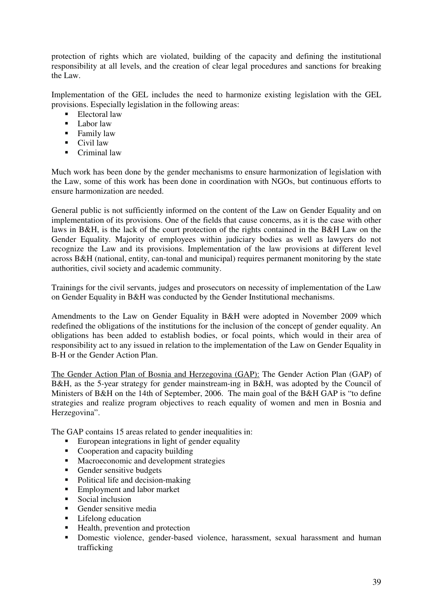protection of rights which are violated, building of the capacity and defining the institutional responsibility at all levels, and the creation of clear legal procedures and sanctions for breaking the Law.

Implementation of the GEL includes the need to harmonize existing legislation with the GEL provisions. Especially legislation in the following areas:

- Electoral law
- Labor law
- Family law
- Civil law
- Criminal law

Much work has been done by the gender mechanisms to ensure harmonization of legislation with the Law, some of this work has been done in coordination with NGOs, but continuous efforts to ensure harmonization are needed.

General public is not sufficiently informed on the content of the Law on Gender Equality and on implementation of its provisions. One of the fields that cause concerns, as it is the case with other laws in B&H, is the lack of the court protection of the rights contained in the B&H Law on the Gender Equality. Majority of employees within judiciary bodies as well as lawyers do not recognize the Law and its provisions. Implementation of the law provisions at different level across B&H (national, entity, can-tonal and municipal) requires permanent monitoring by the state authorities, civil society and academic community.

Trainings for the civil servants, judges and prosecutors on necessity of implementation of the Law on Gender Equality in B&H was conducted by the Gender Institutional mechanisms.

Amendments to the Law on Gender Equality in B&H were adopted in November 2009 which redefined the obligations of the institutions for the inclusion of the concept of gender equality. An obligations has been added to establish bodies, or focal points, which would in their area of responsibility act to any issued in relation to the implementation of the Law on Gender Equality in B-H or the Gender Action Plan.

The Gender Action Plan of Bosnia and Herzegovina (GAP): The Gender Action Plan (GAP) of B&H, as the 5-year strategy for gender mainstream-ing in B&H, was adopted by the Council of Ministers of B&H on the 14th of September, 2006. The main goal of the B&H GAP is "to define strategies and realize program objectives to reach equality of women and men in Bosnia and Herzegovina".

The GAP contains 15 areas related to gender inequalities in:

- **European integrations in light of gender equality**
- **•** Cooperation and capacity building
- **IN** Macroeconomic and development strategies
- **-** Gender sensitive budgets
- Political life and decision-making
- **Employment and labor market**
- -Social inclusion
- **-** Gender sensitive media
- **Lifelong education**
- **-** Health, prevention and protection
- **-** Domestic violence, gender-based violence, harassment, sexual harassment and human trafficking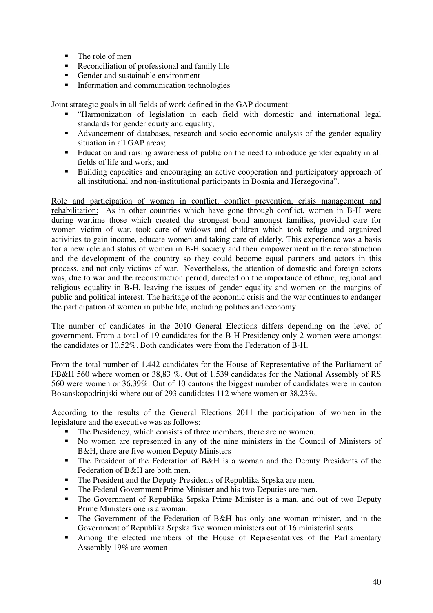- The role of men
- **•** Reconciliation of professional and family life
- **Gender and sustainable environment**
- **Information and communication technologies**

Joint strategic goals in all fields of work defined in the GAP document:

- "Harmonization of legislation in each field with domestic and international legal standards for gender equity and equality;
- Advancement of databases, research and socio-economic analysis of the gender equality situation in all GAP areas;
- Education and raising awareness of public on the need to introduce gender equality in all fields of life and work; and
- - Building capacities and encouraging an active cooperation and participatory approach of all institutional and non-institutional participants in Bosnia and Herzegovina".

Role and participation of women in conflict, conflict prevention, crisis management and rehabilitation: As in other countries which have gone through conflict, women in B-H were during wartime those which created the strongest bond amongst families, provided care for women victim of war, took care of widows and children which took refuge and organized activities to gain income, educate women and taking care of elderly. This experience was a basis for a new role and status of women in B-H society and their empowerment in the reconstruction and the development of the country so they could become equal partners and actors in this process, and not only victims of war. Nevertheless, the attention of domestic and foreign actors was, due to war and the reconstruction period, directed on the importance of ethnic, regional and religious equality in B-H, leaving the issues of gender equality and women on the margins of public and political interest. The heritage of the economic crisis and the war continues to endanger the participation of women in public life, including politics and economy.

The number of candidates in the 2010 General Elections differs depending on the level of government. From a total of 19 candidates for the B-H Presidency only 2 women were amongst the candidates or 10.52%. Both candidates were from the Federation of B-H.

From the total number of 1.442 candidates for the House of Representative of the Parliament of FB&H 560 where women or 38,83 %. Out of 1.539 candidates for the National Assembly of RS 560 were women or 36,39%. Out of 10 cantons the biggest number of candidates were in canton Bosanskopodrinjski where out of 293 candidates 112 where women or 38,23%.

According to the results of the General Elections 2011 the participation of women in the legislature and the executive was as follows:

- The Presidency, which consists of three members, there are no women.
- No women are represented in any of the nine ministers in the Council of Ministers of B&H, there are five women Deputy Ministers
- The President of the Federation of B&H is a woman and the Deputy Presidents of the Federation of B&H are both men.
- The President and the Deputy Presidents of Republika Srpska are men.
- The Federal Government Prime Minister and his two Deputies are men.
- The Government of Republika Srpska Prime Minister is a man, and out of two Deputy Prime Ministers one is a woman.
- The Government of the Federation of B&H has only one woman minister, and in the Government of Republika Srpska five women ministers out of 16 ministerial seats
- Among the elected members of the House of Representatives of the Parliamentary Assembly 19% are women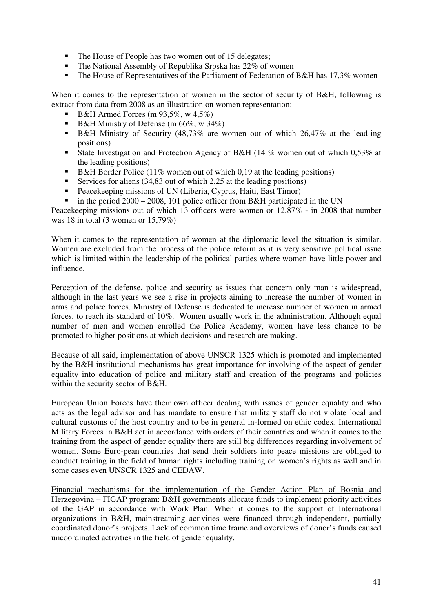- The House of People has two women out of 15 delegates;
- The National Assembly of Republika Srpska has 22% of women
- The House of Representatives of the Parliament of Federation of B&H has 17,3% women

When it comes to the representation of women in the sector of security of B&H, following is extract from data from 2008 as an illustration on women representation:

- $\bullet$  B&H Armed Forces (m 93,5%, w 4,5%)
- **B&H Ministry of Defense** (m 66%, w 34%)
- B&H Ministry of Security (48,73% are women out of which 26,47% at the lead-ing positions)
- **State Investigation and Protection Agency of B&H (14 % women out of which 0,53% at** the leading positions)
- B&H Border Police (11% women out of which 0,19 at the leading positions)
- **Exercices** for aliens (34,83 out of which 2,25 at the leading positions)
- Peacekeeping missions of UN (Liberia, Cyprus, Haiti, East Timor)
- in the period 2000 – 2008, 101 police officer from B&H participated in the UN

Peacekeeping missions out of which 13 officers were women or 12,87% - in 2008 that number was 18 in total (3 women or 15,79%)

When it comes to the representation of women at the diplomatic level the situation is similar. Women are excluded from the process of the police reform as it is very sensitive political issue which is limited within the leadership of the political parties where women have little power and influence.

Perception of the defense, police and security as issues that concern only man is widespread, although in the last years we see a rise in projects aiming to increase the number of women in arms and police forces. Ministry of Defense is dedicated to increase number of women in armed forces, to reach its standard of 10%. Women usually work in the administration. Although equal number of men and women enrolled the Police Academy, women have less chance to be promoted to higher positions at which decisions and research are making.

Because of all said, implementation of above UNSCR 1325 which is promoted and implemented by the B&H institutional mechanisms has great importance for involving of the aspect of gender equality into education of police and military staff and creation of the programs and policies within the security sector of B&H.

European Union Forces have their own officer dealing with issues of gender equality and who acts as the legal advisor and has mandate to ensure that military staff do not violate local and cultural customs of the host country and to be in general in-formed on ethic codex. International Military Forces in B&H act in accordance with orders of their countries and when it comes to the training from the aspect of gender equality there are still big differences regarding involvement of women. Some Euro-pean countries that send their soldiers into peace missions are obliged to conduct training in the field of human rights including training on women's rights as well and in some cases even UNSCR 1325 and CEDAW.

Financial mechanisms for the implementation of the Gender Action Plan of Bosnia and Herzegovina – FIGAP program: B&H governments allocate funds to implement priority activities of the GAP in accordance with Work Plan. When it comes to the support of International organizations in B&H, mainstreaming activities were financed through independent, partially coordinated donor's projects. Lack of common time frame and overviews of donor's funds caused uncoordinated activities in the field of gender equality.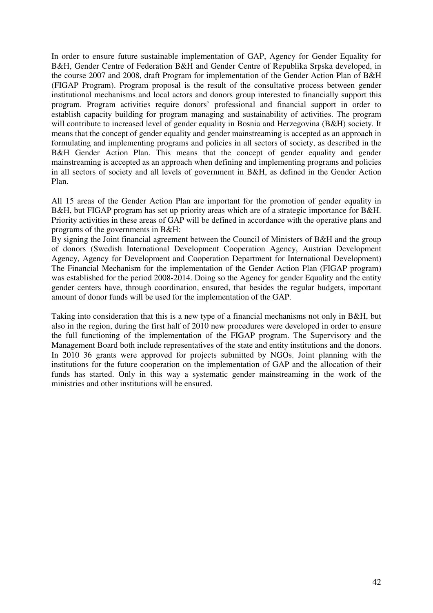In order to ensure future sustainable implementation of GAP, Agency for Gender Equality for B&H, Gender Centre of Federation B&H and Gender Centre of Republika Srpska developed, in the course 2007 and 2008, draft Program for implementation of the Gender Action Plan of B&H (FIGAP Program). Program proposal is the result of the consultative process between gender institutional mechanisms and local actors and donors group interested to financially support this program. Program activities require donors' professional and financial support in order to establish capacity building for program managing and sustainability of activities. The program will contribute to increased level of gender equality in Bosnia and Herzegovina (B&H) society. It means that the concept of gender equality and gender mainstreaming is accepted as an approach in formulating and implementing programs and policies in all sectors of society, as described in the B&H Gender Action Plan. This means that the concept of gender equality and gender mainstreaming is accepted as an approach when defining and implementing programs and policies in all sectors of society and all levels of government in B&H, as defined in the Gender Action Plan.

All 15 areas of the Gender Action Plan are important for the promotion of gender equality in B&H, but FIGAP program has set up priority areas which are of a strategic importance for B&H. Priority activities in these areas of GAP will be defined in accordance with the operative plans and programs of the governments in B&H:

By signing the Joint financial agreement between the Council of Ministers of B&H and the group of donors (Swedish International Development Cooperation Agency, Austrian Development Agency, Agency for Development and Cooperation Department for International Development) The Financial Mechanism for the implementation of the Gender Action Plan (FIGAP program) was established for the period 2008-2014. Doing so the Agency for gender Equality and the entity gender centers have, through coordination, ensured, that besides the regular budgets, important amount of donor funds will be used for the implementation of the GAP.

Taking into consideration that this is a new type of a financial mechanisms not only in B&H, but also in the region, during the first half of 2010 new procedures were developed in order to ensure the full functioning of the implementation of the FIGAP program. The Supervisory and the Management Board both include representatives of the state and entity institutions and the donors. In 2010 36 grants were approved for projects submitted by NGOs. Joint planning with the institutions for the future cooperation on the implementation of GAP and the allocation of their funds has started. Only in this way a systematic gender mainstreaming in the work of the ministries and other institutions will be ensured.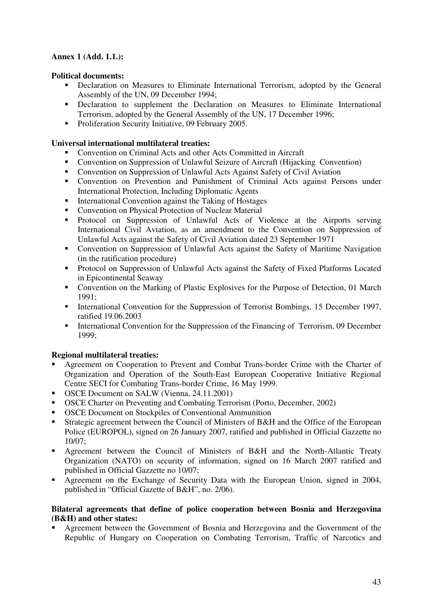## **Annex 1 (Add. 1.1.):**

## **Political documents:**

- **-** Declaration on Measures to Eliminate International Terrorism, adopted by the General Assembly of the UN, 09 December 1994;
- **-** Declaration to supplement the Declaration on Measures to Eliminate International Terrorism, adopted by the General Assembly of the UN, 17 December 1996;
- Proliferation Security Initiative, 09 February 2005.

## **Universal international multilateral treaties:**

- -Convention on Criminal Acts and other Acts Committed in Aircraft
- **Convention on Suppression of Unlawful Seizure of Aircraft (Hijacking Convention)**
- **Convention on Suppression of Unlawful Acts Against Safety of Civil Aviation**
- Convention on Prevention and Punishment of Criminal Acts against Persons under International Protection, Including Diplomatic Agents
- **International Convention against the Taking of Hostages**
- **Convention on Physical Protection of Nuclear Material**
- Protocol on Suppression of Unlawful Acts of Violence at the Airports serving International Civil Aviation, as an amendment to the Convention on Suppression of Unlawful Acts against the Safety of Civil Aviation dated 23 September 1971
- **-** Convention on Suppression of Unlawful Acts against the Safety of Maritime Navigation (in the ratification procedure)
- **•** Protocol on Suppression of Unlawful Acts against the Safety of Fixed Platforms Located in Epicontinental Seaway
- **Convention on the Marking of Plastic Explosives for the Purpose of Detection, 01 March** 1991;
- **International Convention for the Suppression of Terrorist Bombings, 15 December 1997,** ratified 19.06.2003
- **International Convention for the Suppression of the Financing of Terrorism, 09 December** 1999;

## **Regional multilateral treaties:**

- - Agreement on Cooperation to Prevent and Combat Trans-border Crime with the Charter of Organization and Operation of the South-East European Cooperative Initiative Regional Centre SECI for Combating Trans-border Crime, 16 May 1999.
- OSCE Document on SALW (Vienna, 24.11.2001)
- **OSCE Charter on Preventing and Combating Terrorism (Porto, December, 2002)**
- -OSCE Document on Stockpiles of Conventional Ammunition
- - Strategic agreement between the Council of Ministers of B&H and the Office of the European Police (EUROPOL), signed on 26 January 2007, ratified and published in Official Gazzette no 10/07;
- - Agreement between the Council of Ministers of B&H and the North-Atlantic Treaty Organization (NATO) on security of information, signed on 16 March 2007 ratified and published in Official Gazzette no 10/07;
- - Agreement on the Exchange of Security Data with the European Union, signed in 2004, published in "Official Gazette of B&H", no. 2/06).

#### **Bilateral agreements that define of police cooperation between Bosnia and Herzegovina (B&H) and other states:**

- Agreement between the Government of Bosnia and Herzegovina and the Government of the Republic of Hungary on Cooperation on Combating Terrorism, Traffic of Narcotics and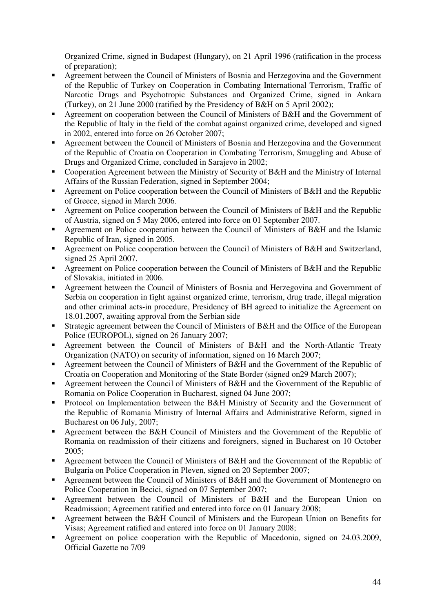Organized Crime, signed in Budapest (Hungary), on 21 April 1996 (ratification in the process of preparation);

- - Agreement between the Council of Ministers of Bosnia and Herzegovina and the Government of the Republic of Turkey on Cooperation in Combating International Terrorism, Traffic of Narcotic Drugs and Psychotropic Substances and Organized Crime, signed in Ankara (Turkey), on 21 June 2000 (ratified by the Presidency of B&H on 5 April 2002);
- - Agreement on cooperation between the Council of Ministers of B&H and the Government of the Republic of Italy in the field of the combat against organized crime, developed and signed in 2002, entered into force on 26 October 2007;
- - Agreement between the Council of Ministers of Bosnia and Herzegovina and the Government of the Republic of Croatia on Cooperation in Combating Terrorism, Smuggling and Abuse of Drugs and Organized Crime, concluded in Sarajevo in 2002;
- - Cooperation Agreement between the Ministry of Security of B&H and the Ministry of Internal Affairs of the Russian Federation, signed in September 2004;
- - Agreement on Police cooperation between the Council of Ministers of B&H and the Republic of Greece, signed in March 2006.
- - Agreement on Police cooperation between the Council of Ministers of B&H and the Republic of Austria, signed on 5 May 2006, entered into force on 01 September 2007.
- - Agreement on Police cooperation between the Council of Ministers of B&H and the Islamic Republic of Iran, signed in 2005.
- - Agreement on Police cooperation between the Council of Ministers of B&H and Switzerland, signed 25 April 2007.
- - Agreement on Police cooperation between the Council of Ministers of B&H and the Republic of Slovakia, initiated in 2006.
- - Agreement between the Council of Ministers of Bosnia and Herzegovina and Government of Serbia on cooperation in fight against organized crime, terrorism, drug trade, illegal migration and other criminal acts-in procedure, Presidency of BH agreed to initialize the Agreement on 18.01.2007, awaiting approval from the Serbian side
- - Strategic agreement between the Council of Ministers of B&H and the Office of the European Police (EUROPOL), signed on 26 January 2007;
- - Agreement between the Council of Ministers of B&H and the North-Atlantic Treaty Organization (NATO) on security of information, signed on 16 March 2007;
- - Agreement between the Council of Ministers of B&H and the Government of the Republic of Croatia on Cooperation and Monitoring of the State Border (signed on29 March 2007);
- - Agreement between the Council of Ministers of B&H and the Government of the Republic of Romania on Police Cooperation in Bucharest, signed 04 June 2007;
- - Protocol on Implementation between the B&H Ministry of Security and the Government of the Republic of Romania Ministry of Internal Affairs and Administrative Reform, signed in Bucharest on 06 July, 2007;
- - Agreement between the B&H Council of Ministers and the Government of the Republic of Romania on readmission of their citizens and foreigners, signed in Bucharest on 10 October 2005;
- **Agreement between the Council of Ministers of B&H and the Government of the Republic of** Bulgaria on Police Cooperation in Pleven, signed on 20 September 2007;
- - Agreement between the Council of Ministers of B&H and the Government of Montenegro on Police Cooperation in Becici, signed on 07 September 2007;
- - Agreement between the Council of Ministers of B&H and the European Union on Readmission; Agreement ratified and entered into force on 01 January 2008;
- - Agreement between the B&H Council of Ministers and the European Union on Benefits for Visas; Agreement ratified and entered into force on 01 January 2008;
- - Agreement on police cooperation with the Republic of Macedonia, signed on 24.03.2009, Official Gazette no 7/09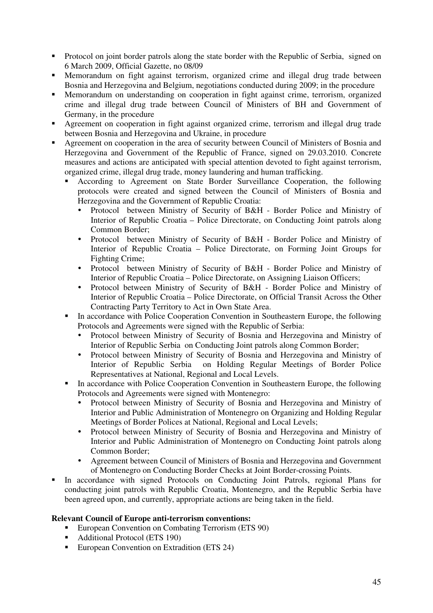- - Protocol on joint border patrols along the state border with the Republic of Serbia, signed on 6 March 2009, Official Gazette, no 08/09
- - Memorandum on fight against terrorism, organized crime and illegal drug trade between Bosnia and Herzegovina and Belgium, negotiations conducted during 2009; in the procedure
- - Memorandum on understanding on cooperation in fight against crime, terrorism, organized crime and illegal drug trade between Council of Ministers of BH and Government of Germany, in the procedure
- - Agreement on cooperation in fight against organized crime, terrorism and illegal drug trade between Bosnia and Herzegovina and Ukraine, in procedure
- - Agreement on cooperation in the area of security between Council of Ministers of Bosnia and Herzegovina and Government of the Republic of France, signed on 29.03.2010. Concrete measures and actions are anticipated with special attention devoted to fight against terrorism, organized crime, illegal drug trade, money laundering and human trafficking.
	- - According to Agreement on State Border Surveillance Cooperation, the following protocols were created and signed between the Council of Ministers of Bosnia and Herzegovina and the Government of Republic Croatia:
		- Protocol between Ministry of Security of B&H Border Police and Ministry of Interior of Republic Croatia – Police Directorate, on Conducting Joint patrols along Common Border;
		- Protocol between Ministry of Security of B&H Border Police and Ministry of Interior of Republic Croatia – Police Directorate, on Forming Joint Groups for Fighting Crime;
		- Protocol between Ministry of Security of B&H Border Police and Ministry of Interior of Republic Croatia – Police Directorate, on Assigning Liaison Officers;
		- Protocol between Ministry of Security of B&H Border Police and Ministry of Interior of Republic Croatia – Police Directorate, on Official Transit Across the Other Contracting Party Territory to Act in Own State Area.
	- - In accordance with Police Cooperation Convention in Southeastern Europe, the following Protocols and Agreements were signed with the Republic of Serbia:
		- Protocol between Ministry of Security of Bosnia and Herzegovina and Ministry of Interior of Republic Serbia on Conducting Joint patrols along Common Border;
		- Protocol between Ministry of Security of Bosnia and Herzegovina and Ministry of Interior of Republic Serbia on Holding Regular Meetings of Border Police Representatives at National, Regional and Local Levels.
	- - In accordance with Police Cooperation Convention in Southeastern Europe, the following Protocols and Agreements were signed with Montenegro:
		- Protocol between Ministry of Security of Bosnia and Herzegovina and Ministry of Interior and Public Administration of Montenegro on Organizing and Holding Regular Meetings of Border Polices at National, Regional and Local Levels;
		- Protocol between Ministry of Security of Bosnia and Herzegovina and Ministry of Interior and Public Administration of Montenegro on Conducting Joint patrols along Common Border;
		- Agreement between Council of Ministers of Bosnia and Herzegovina and Government of Montenegro on Conducting Border Checks at Joint Border-crossing Points.
- - In accordance with signed Protocols on Conducting Joint Patrols, regional Plans for conducting joint patrols with Republic Croatia, Montenegro, and the Republic Serbia have been agreed upon, and currently, appropriate actions are being taken in the field.

## **Relevant Council of Europe anti-terrorism conventions:**

- **European Convention on Combating Terrorism (ETS 90)**
- **-** Additional Protocol (ETS 190)
- **European Convention on Extradition (ETS 24)**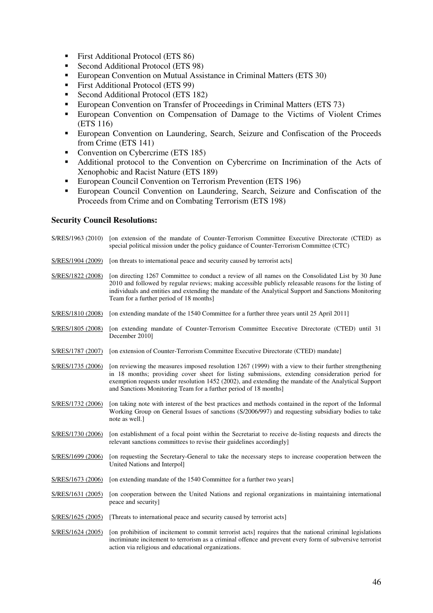- **First Additional Protocol (ETS 86)**
- **Second Additional Protocol (ETS 98)**
- **European Convention on Mutual Assistance in Criminal Matters (ETS 30)**
- **First Additional Protocol (ETS 99)**
- **Second Additional Protocol (ETS 182)**
- **European Convention on Transfer of Proceedings in Criminal Matters (ETS 73)**
- - European Convention on Compensation of Damage to the Victims of Violent Crimes (ETS 116)
- European Convention on Laundering, Search, Seizure and Confiscation of the Proceeds from Crime (ETS 141)
- Convention on Cybercrime (ETS 185)
- **-** Additional protocol to the Convention on Cybercrime on Incrimination of the Acts of Xenophobic and Racist Nature (ETS 189)
- **European Council Convention on Terrorism Prevention (ETS 196)**
- European Council Convention on Laundering, Search, Seizure and Confiscation of the Proceeds from Crime and on Combating Terrorism (ETS 198)

#### **Security Council Resolutions:**

|                   | S/RES/1963 (2010) [on extension of the mandate of Counter-Terrorism Committee Executive Directorate (CTED) as<br>special political mission under the policy guidance of Counter-Terrorism Committee (CTC)                                                                                                                                                                           |
|-------------------|-------------------------------------------------------------------------------------------------------------------------------------------------------------------------------------------------------------------------------------------------------------------------------------------------------------------------------------------------------------------------------------|
| S/RES/1904 (2009) | [on threats to international peace and security caused by terrorist acts]                                                                                                                                                                                                                                                                                                           |
| S/RES/1822 (2008) | [on directing 1267 Committee to conduct a review of all names on the Consolidated List by 30 June<br>2010 and followed by regular reviews; making accessible publicly releasable reasons for the listing of<br>individuals and entities and extending the mandate of the Analytical Support and Sanctions Monitoring<br>Team for a further period of 18 months]                     |
| S/RES/1810 (2008) | [on extending mandate of the 1540 Committee for a further three years until 25 April 2011]                                                                                                                                                                                                                                                                                          |
| S/RES/1805 (2008) | [on extending mandate of Counter-Terrorism Committee Executive Directorate (CTED) until 31<br>December 2010]                                                                                                                                                                                                                                                                        |
| S/RES/1787 (2007) | [on extension of Counter-Terrorism Committee Executive Directorate (CTED) mandate]                                                                                                                                                                                                                                                                                                  |
| S/RES/1735 (2006) | [on reviewing the measures imposed resolution 1267 (1999) with a view to their further strengthening<br>in 18 months; providing cover sheet for listing submissions, extending consideration period for<br>exemption requests under resolution 1452 (2002), and extending the mandate of the Analytical Support<br>and Sanctions Monitoring Team for a further period of 18 months] |
| S/RES/1732 (2006) | [on taking note with interest of the best practices and methods contained in the report of the Informal<br>Working Group on General Issues of sanctions (S/2006/997) and requesting subsidiary bodies to take<br>note as well.]                                                                                                                                                     |
| S/RES/1730 (2006) | [on establishment of a focal point within the Secretariat to receive de-listing requests and directs the<br>relevant sanctions committees to revise their guidelines accordingly]                                                                                                                                                                                                   |
| S/RES/1699 (2006) | [on requesting the Secretary-General to take the necessary steps to increase cooperation between the<br>United Nations and Interpol]                                                                                                                                                                                                                                                |
| S/RES/1673 (2006) | [on extending mandate of the 1540 Committee for a further two years]                                                                                                                                                                                                                                                                                                                |
| S/RES/1631 (2005) | [on cooperation between the United Nations and regional organizations in maintaining international<br>peace and security]                                                                                                                                                                                                                                                           |
| S/RES/1625 (2005) | [Threats to international peace and security caused by terrorist acts]                                                                                                                                                                                                                                                                                                              |
| S/RES/1624 (2005) | [on prohibition of incitement to commit terrorist acts] requires that the national criminal legislations<br>incriminate incitement to terrorism as a criminal offence and prevent every form of subversive terrorist<br>action via religious and educational organizations.                                                                                                         |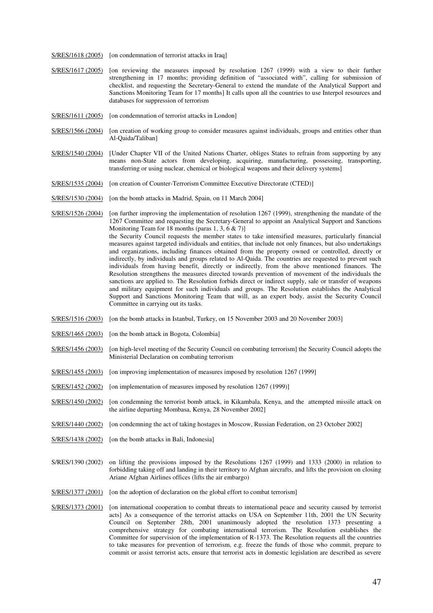S/RES/1618 (2005) [on condemnation of terrorist attacks in Iraq]

- S/RES/1617 (2005) [on reviewing the measures imposed by resolution 1267 (1999) with a view to their further strengthening in 17 months; providing definition of "associated with", calling for submission of checklist, and requesting the Secretary-General to extend the mandate of the Analytical Support and Sanctions Monitoring Team for 17 months] It calls upon all the countries to use Interpol resources and databases for suppression of terrorism
- S/RES/1611 (2005) [on condemnation of terrorist attacks in London]
- S/RES/1566 (2004) [on creation of working group to consider measures against individuals, groups and entities other than Al-Qaida/Taliban]
- S/RES/1540 (2004) [Under Chapter VII of the United Nations Charter, obliges States to refrain from supporting by any means non-State actors from developing, acquiring, manufacturing, possessing, transporting, transferring or using nuclear, chemical or biological weapons and their delivery systems]
- S/RES/1535 (2004) [on creation of Counter-Terrorism Committee Executive Directorate (CTED)]
- S/RES/1530 (2004) [on the bomb attacks in Madrid, Spain, on 11 March 2004]

S/RES/1526 (2004) [on further improving the implementation of resolution 1267 (1999), strengthening the mandate of the 1267 Committee and requesting the Secretary-General to appoint an Analytical Support and Sanctions Monitoring Team for 18 months (paras 1, 3, 6 & 7)] the Security Council requests the member states to take intensified measures, particularly financial measures against targeted individuals and entities, that include not only finances, but also undertakings and organizations, including finances obtained from the property owned or controlled, directly or indirectly, by individuals and groups related to Al-Qaida. The countries are requested to prevent such individuals from having benefit, directly or indirectly, from the above mentioned finances. The Resolution strengthens the measures directed towards prevention of movement of the individuals the sanctions are applied to. The Resolution forbids direct or indirect supply, sale or transfer of weapons and military equipment for such individuals and groups. The Resolution establishes the Analytical Support and Sanctions Monitoring Team that will, as an expert body, assist the Security Council Committee in carrying out its tasks.

- S/RES/1516 (2003) [on the bomb attacks in Istanbul, Turkey, on 15 November 2003 and 20 November 2003]
- S/RES/1465 (2003) [on the bomb attack in Bogota, Colombia]
- S/RES/1456 (2003) [on high-level meeting of the Security Council on combating terrorism] the Security Council adopts the Ministerial Declaration on combating terrorism
- S/RES/1455 (2003) [on improving implementation of measures imposed by resolution 1267 (1999]
- S/RES/1452 (2002) [on implementation of measures imposed by resolution 1267 (1999)]
- S/RES/1450 (2002) [on condemning the terrorist bomb attack, in Kikambala, Kenya, and the attempted missile attack on the airline departing Mombasa, Kenya, 28 November 2002]
- S/RES/1440 (2002) [on condemning the act of taking hostages in Moscow, Russian Federation, on 23 October 2002]
- S/RES/1438 (2002) [on the bomb attacks in Bali, Indonesia]
- S/RES/1390 (2002) on lifting the provisions imposed by the Resolutions 1267 (1999) and 1333 (2000) in relation to forbidding taking off and landing in their territory to Afghan aircrafts, and lifts the provision on closing Ariane Afghan Airlines offices (lifts the air embargo)
- S/RES/1377 (2001) [on the adoption of declaration on the global effort to combat terrorism]
- S/RES/1373 (2001) [on international cooperation to combat threats to international peace and security caused by terrorist acts] As a consequence of the terrorist attacks on USA on September 11th, 2001 the UN Security Council on September 28th, 2001 unanimously adopted the resolution 1373 presenting a comprehensive strategy for combating international terrorism. The Resolution establishes the Committee for supervision of the implementation of R-1373. The Resolution requests all the countries to take measures for prevention of terrorism, e.g. freeze the funds of those who commit, prepare to commit or assist terrorist acts, ensure that terrorist acts in domestic legislation are described as severe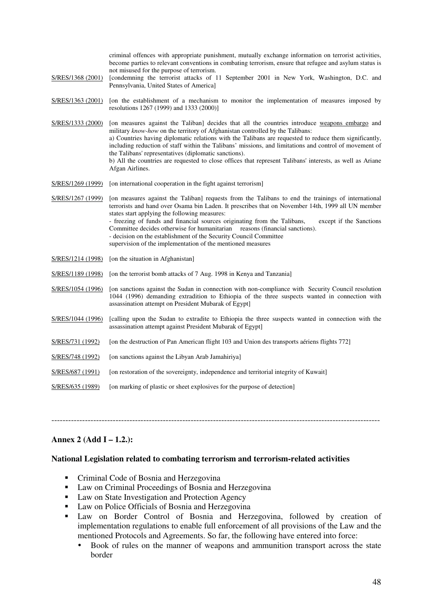criminal offences with appropriate punishment, mutually exchange information on terrorist activities, become parties to relevant conventions in combating terrorism, ensure that refugee and asylum status is not misused for the purpose of terrorism. S/RES/1368 (2001) [condemning the terrorist attacks of 11 September 2001 in New York, Washington, D.C. and Pennsylvania, United States of America] S/RES/1363 (2001) [on the establishment of a mechanism to monitor the implementation of measures imposed by resolutions 1267 (1999) and 1333 (2000)] S/RES/1333 (2000) [on measures against the Taliban] decides that all the countries introduce weapons embargo and military *know-how* on the territory of Afghanistan controlled by the Talibans: a) Countries having diplomatic relations with the Talibans are requested to reduce them significantly, including reduction of staff within the Talibans' missions, and limitations and control of movement of the Talibans' representatives (diplomatic sanctions). b) All the countries are requested to close offices that represent Talibans' interests, as well as Ariane Afgan Airlines. S/RES/1269 (1999) [on international cooperation in the fight against terrorism] S/RES/1267 (1999) [on measures against the Taliban] requests from the Talibans to end the trainings of international terrorists and hand over Osama bin Laden. It prescribes that on November 14th, 1999 all UN member states start applying the following measures: - freezing of funds and financial sources originating from the Talibans, except if the Sanctions Committee decides otherwise for humanitarian reasons (financial sanctions). - decision on the establishment of the Security Council Committee supervision of the implementation of the mentioned measures S/RES/1214 (1998) [on the situation in Afghanistan] S/RES/1189 (1998) [on the terrorist bomb attacks of 7 Aug. 1998 in Kenya and Tanzania] S/RES/1054 (1996) [on sanctions against the Sudan in connection with non-compliance with Security Council resolution 1044 (1996) demanding extradition to Ethiopia of the three suspects wanted in connection with assassination attempt on President Mubarak of Egypt] S/RES/1044 (1996) [calling upon the Sudan to extradite to Ethiopia the three suspects wanted in connection with the assassination attempt against President Mubarak of Egypt] S/RES/731 (1992) [on the destruction of Pan American flight 103 and Union des transports aériens flights 772] S/RES/748 (1992) [on sanctions against the Libyan Arab Jamahiriya] S/RES/687 (1991) [on restoration of the sovereignty, independence and territorial integrity of Kuwait] S/RES/635 (1989) [on marking of plastic or sheet explosives for the purpose of detection]

## **Annex 2 (Add I – 1.2.):**

#### **National Legislation related to combating terrorism and terrorism-related activities**

----------------------------------------------------------------------------------------------------------------------

- **•** Criminal Code of Bosnia and Herzegovina
- **Law on Criminal Proceedings of Bosnia and Herzegovina**
- **Law on State Investigation and Protection Agency**
- **Law on Police Officials of Bosnia and Herzegovina**
- - Law on Border Control of Bosnia and Herzegovina, followed by creation of implementation regulations to enable full enforcement of all provisions of the Law and the mentioned Protocols and Agreements. So far, the following have entered into force:
	- Book of rules on the manner of weapons and ammunition transport across the state border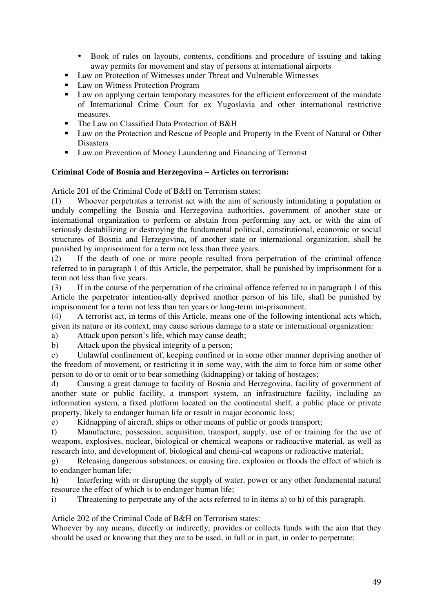- Book of rules on layouts, contents, conditions and procedure of issuing and taking away permits for movement and stay of persons at international airports
- **Law on Protection of Witnesses under Threat and Vulnerable Witnesses**
- **Law on Witness Protection Program**
- **Law on applying certain temporary measures for the efficient enforcement of the mandate** of International Crime Court for ex Yugoslavia and other international restrictive measures.
- The Law on Classified Data Protection of B&H
- **Law on the Protection and Rescue of People and Property in the Event of Natural or Other** Disasters
- Law on Prevention of Money Laundering and Financing of Terrorist

## **Criminal Code of Bosnia and Herzegovina – Articles on terrorism:**

Article 201 of the Criminal Code of B&H on Terrorism states:

(1) Whoever perpetrates a terrorist act with the aim of seriously intimidating a population or unduly compelling the Bosnia and Herzegovina authorities, government of another state or international organization to perform or abstain from performing any act, or with the aim of seriously destabilizing or destroying the fundamental political, constitutional, economic or social structures of Bosnia and Herzegovina, of another state or international organization, shall be punished by imprisonment for a term not less than three years.

(2) If the death of one or more people resulted from perpetration of the criminal offence referred to in paragraph 1 of this Article, the perpetrator, shall be punished by imprisonment for a term not less than five years.

(3) If in the course of the perpetration of the criminal offence referred to in paragraph 1 of this Article the perpetrator intention-ally deprived another person of his life, shall be punished by imprisonment for a term not less than ten years or long-term im-prisonment.

(4) A terrorist act, in terms of this Article, means one of the following intentional acts which, given its nature or its context, may cause serious damage to a state or international organization:

a) Attack upon person's life, which may cause death;

b) Attack upon the physical integrity of a person;

c) Unlawful confinement of, keeping confined or in some other manner depriving another of the freedom of movement, or restricting it in some way, with the aim to force him or some other person to do or to omit or to bear something (kidnapping) or taking of hostages;

d) Causing a great damage to facility of Bosnia and Herzegovina, facility of government of another state or public facility, a transport system, an infrastructure facility, including an information system, a fixed platform located on the continental shelf, a public place or private property, likely to endanger human life or result in major economic loss;

e) Kidnapping of aircraft, ships or other means of public or goods transport;

f) Manufacture, possession, acquisition, transport, supply, use of or training for the use of weapons, explosives, nuclear, biological or chemical weapons or radioactive material, as well as research into, and development of, biological and chemi-cal weapons or radioactive material;

g) Releasing dangerous substances, or causing fire, explosion or floods the effect of which is to endanger human life;

h) Interfering with or disrupting the supply of water, power or any other fundamental natural resource the effect of which is to endanger human life;

i) Threatening to perpetrate any of the acts referred to in items a) to h) of this paragraph.

Article 202 of the Criminal Code of B&H on Terrorism states:

Whoever by any means, directly or indirectly, provides or collects funds with the aim that they should be used or knowing that they are to be used, in full or in part, in order to perpetrate: